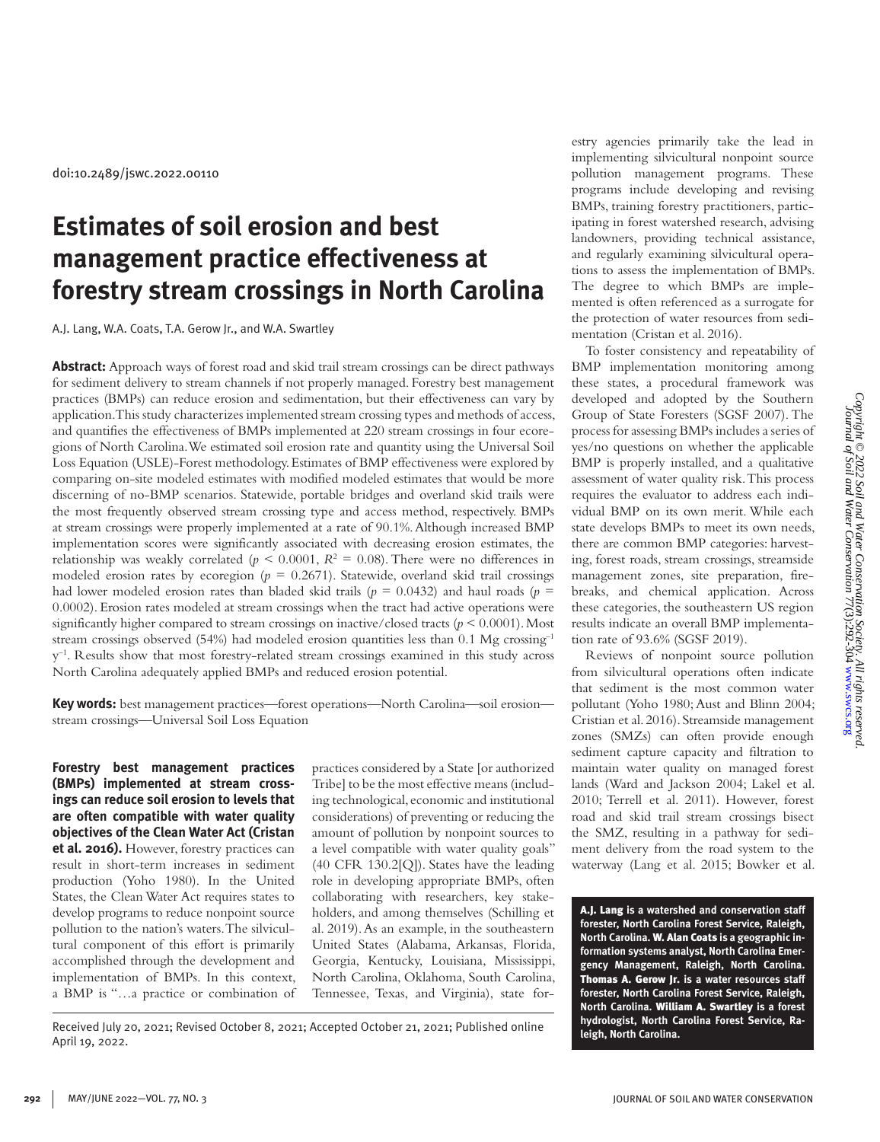doi:10.2489/jswc.2022.00110

# **Estimates of soil erosion and best management practice effectiveness at forestry stream crossings in North Carolina**

A.J. Lang, W.A. Coats, T.A. Gerow Jr., and W.A. Swartley

**Abstract:** Approach ways of forest road and skid trail stream crossings can be direct pathways for sediment delivery to stream channels if not properly managed. Forestry best management practices (BMPs) can reduce erosion and sedimentation, but their effectiveness can vary by application. This study characterizes implemented stream crossing types and methods of access, and quantifies the effectiveness of BMPs implemented at 220 stream crossings in four ecoregions of North Carolina. We estimated soil erosion rate and quantity using the Universal Soil Loss Equation (USLE)-Forest methodology. Estimates of BMP effectiveness were explored by comparing on-site modeled estimates with modified modeled estimates that would be more discerning of no-BMP scenarios. Statewide, portable bridges and overland skid trails were the most frequently observed stream crossing type and access method, respectively. BMPs at stream crossings were properly implemented at a rate of 90.1%. Although increased BMP implementation scores were significantly associated with decreasing erosion estimates, the relationship was weakly correlated ( $p < 0.0001$ ,  $R<sup>2</sup> = 0.08$ ). There were no differences in modeled erosion rates by ecoregion ( $p = 0.2671$ ). Statewide, overland skid trail crossings had lower modeled erosion rates than bladed skid trails ( $p = 0.0432$ ) and haul roads ( $p =$ 0.0002). Erosion rates modeled at stream crossings when the tract had active operations were significantly higher compared to stream crossings on inactive/closed tracts ( $p \le 0.0001$ ). Most stream crossings observed (54%) had modeled erosion quantities less than 0.1 Mg crossing<sup>-1</sup>  $y^{-1}$ . Results show that most forestry-related stream crossings examined in this study across North Carolina adequately applied BMPs and reduced erosion potential.

**Key words:** best management practices—forest operations—North Carolina—soil erosion stream crossings—Universal Soil Loss Equation

**Forestry best management practices (BMPs) implemented at stream crossings can reduce soil erosion to levels that are often compatible with water quality objectives of the Clean Water Act (Cristan et al. 2016).** However, forestry practices can result in short-term increases in sediment production (Yoho 1980). In the United States, the Clean Water Act requires states to develop programs to reduce nonpoint source pollution to the nation's waters. The silvicultural component of this effort is primarily accomplished through the development and implementation of BMPs. In this context, a BMP is "…a practice or combination of

practices considered by a State [or authorized Tribe] to be the most effective means (including technological, economic and institutional considerations) of preventing or reducing the amount of pollution by nonpoint sources to a level compatible with water quality goals" (40 CFR 130.2[Q]). States have the leading role in developing appropriate BMPs, often collaborating with researchers, key stakeholders, and among themselves (Schilling et al. 2019). As an example, in the southeastern United States (Alabama, Arkansas, Florida, Georgia, Kentucky, Louisiana, Mississippi, North Carolina, Oklahoma, South Carolina, Tennessee, Texas, and Virginia), state for-

Received July 20, 2021; Revised October 8, 2021; Accepted October 21, 2021; Published online April 19, 2022.

estry agencies primarily take the lead in implementing silvicultural nonpoint source pollution management programs. These programs include developing and revising BMPs, training forestry practitioners, participating in forest watershed research, advising landowners, providing technical assistance, and regularly examining silvicultural operations to assess the implementation of BMPs. The degree to which BMPs are implemented is often referenced as a surrogate for the protection of water resources from sedimentation (Cristan et al. 2016).

To foster consistency and repeatability of BMP implementation monitoring among these states, a procedural framework was developed and adopted by the Southern Group of State Foresters (SGSF 2007). The process for assessing BMPs includes a series of yes/no questions on whether the applicable BMP is properly installed, and a qualitative assessment of water quality risk. This process requires the evaluator to address each individual BMP on its own merit. While each state develops BMPs to meet its own needs, there are common BMP categories: harvesting, forest roads, stream crossings, streamside management zones, site preparation, firebreaks, and chemical application. Across these categories, the southeastern US region results indicate an overall BMP implementation rate of 93.6% (SGSF 2019).

Reviews of nonpoint source pollution from silvicultural operations often indicate that sediment is the most common water pollutant (Yoho 1980; Aust and Blinn 2004; Cristian et al. 2016). Streamside management zones (SMZs) can often provide enough sediment capture capacity and filtration to maintain water quality on managed forest lands (Ward and Jackson 2004; Lakel et al. 2010; Terrell et al. 2011). However, forest road and skid trail stream crossings bisect the SMZ, resulting in a pathway for sediment delivery from the road system to the waterway (Lang et al. 2015; Bowker et al.

A.J. Lang **is a watershed and conservation staff forester, North Carolina Forest Service, Raleigh, North Carolina.** W. Alan Coats **is a geographic information systems analyst, North Carolina Emergency Management, Raleigh, North Carolina.**  Thomas A. Gerow Jr. **is a water resources staff forester, North Carolina Forest Service, Raleigh, North Carolina.** William A. Swartley **is a forest hydrologist, North Carolina Forest Service, Raleigh, North Carolina.**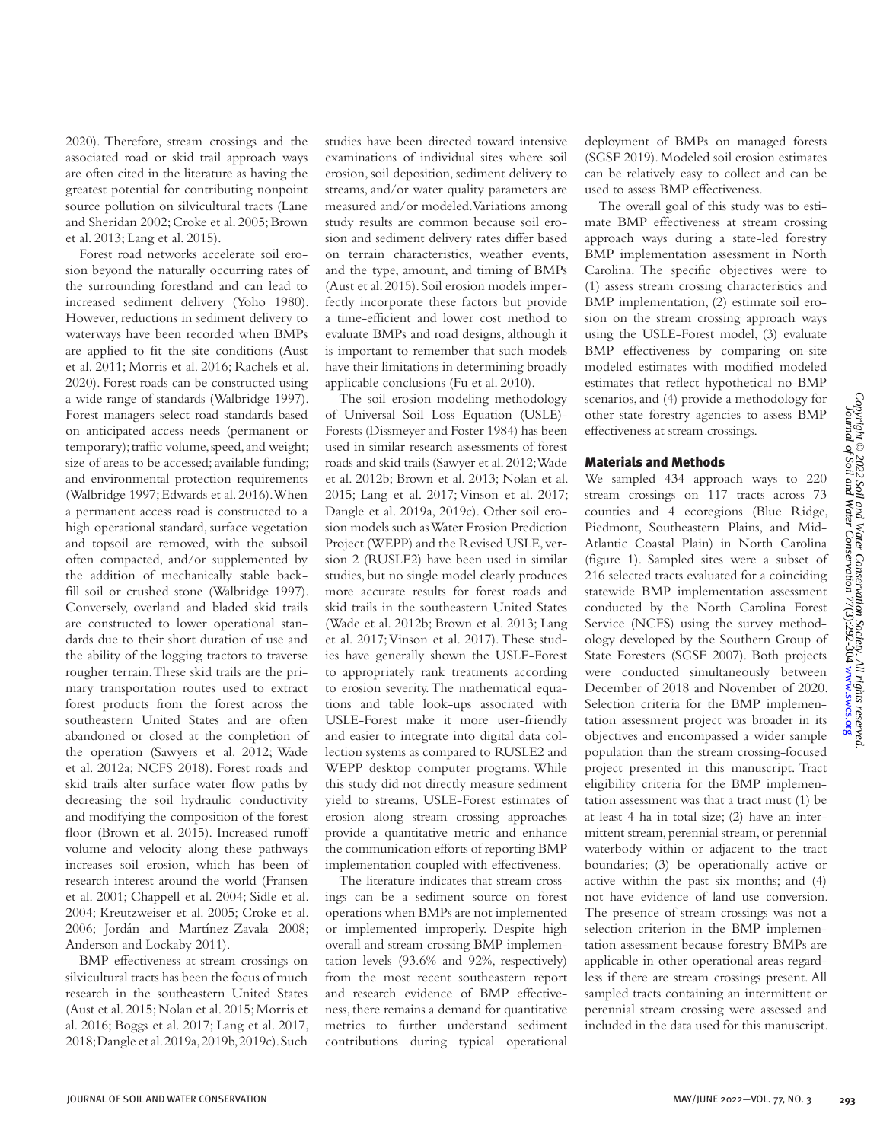2020). Therefore, stream crossings and the associated road or skid trail approach ways are often cited in the literature as having the greatest potential for contributing nonpoint source pollution on silvicultural tracts (Lane and Sheridan 2002; Croke et al. 2005; Brown et al. 2013; Lang et al. 2015).

Forest road networks accelerate soil erosion beyond the naturally occurring rates of the surrounding forestland and can lead to increased sediment delivery (Yoho 1980). However, reductions in sediment delivery to waterways have been recorded when BMPs are applied to fit the site conditions (Aust et al. 2011; Morris et al. 2016; Rachels et al. 2020). Forest roads can be constructed using a wide range of standards (Walbridge 1997). Forest managers select road standards based on anticipated access needs (permanent or temporary); traffic volume, speed, and weight; size of areas to be accessed; available funding; and environmental protection requirements (Walbridge 1997; Edwards et al. 2016). When a permanent access road is constructed to a high operational standard, surface vegetation and topsoil are removed, with the subsoil often compacted, and/or supplemented by the addition of mechanically stable backfill soil or crushed stone (Walbridge 1997). Conversely, overland and bladed skid trails are constructed to lower operational standards due to their short duration of use and the ability of the logging tractors to traverse rougher terrain. These skid trails are the primary transportation routes used to extract forest products from the forest across the southeastern United States and are often abandoned or closed at the completion of the operation (Sawyers et al. 2012; Wade et al. 2012a; NCFS 2018). Forest roads and skid trails alter surface water flow paths by decreasing the soil hydraulic conductivity and modifying the composition of the forest floor (Brown et al. 2015). Increased runoff volume and velocity along these pathways increases soil erosion, which has been of research interest around the world (Fransen et al. 2001; Chappell et al. 2004; Sidle et al. 2004; Kreutzweiser et al. 2005; Croke et al. 2006; Jordán and Martínez-Zavala 2008; Anderson and Lockaby 2011).

BMP effectiveness at stream crossings on silvicultural tracts has been the focus of much research in the southeastern United States (Aust et al. 2015; Nolan et al. 2015; Morris et al. 2016; Boggs et al. 2017; Lang et al. 2017, 2018; Dangle et al. 2019a, 2019b, 2019c). Such

studies have been directed toward intensive examinations of individual sites where soil erosion, soil deposition, sediment delivery to streams, and/or water quality parameters are measured and/or modeled. Variations among study results are common because soil erosion and sediment delivery rates differ based on terrain characteristics, weather events, and the type, amount, and timing of BMPs (Aust et al. 2015). Soil erosion models imperfectly incorporate these factors but provide a time-efficient and lower cost method to evaluate BMPs and road designs, although it is important to remember that such models have their limitations in determining broadly applicable conclusions (Fu et al. 2010).

The soil erosion modeling methodology of Universal Soil Loss Equation (USLE)- Forests (Dissmeyer and Foster 1984) has been used in similar research assessments of forest roads and skid trails (Sawyer et al. 2012; Wade et al. 2012b; Brown et al. 2013; Nolan et al. 2015; Lang et al. 2017; Vinson et al. 2017; Dangle et al. 2019a, 2019c). Other soil erosion models such as Water Erosion Prediction Project (WEPP) and the Revised USLE, version 2 (RUSLE2) have been used in similar studies, but no single model clearly produces more accurate results for forest roads and skid trails in the southeastern United States (Wade et al. 2012b; Brown et al. 2013; Lang et al. 2017; Vinson et al. 2017). These studies have generally shown the USLE-Forest to appropriately rank treatments according to erosion severity. The mathematical equations and table look-ups associated with USLE-Forest make it more user-friendly and easier to integrate into digital data collection systems as compared to RUSLE2 and WEPP desktop computer programs. While this study did not directly measure sediment yield to streams, USLE-Forest estimates of erosion along stream crossing approaches provide a quantitative metric and enhance the communication efforts of reporting BMP implementation coupled with effectiveness.

The literature indicates that stream crossings can be a sediment source on forest operations when BMPs are not implemented or implemented improperly. Despite high overall and stream crossing BMP implementation levels (93.6% and 92%, respectively) from the most recent southeastern report and research evidence of BMP effectiveness, there remains a demand for quantitative metrics to further understand sediment contributions during typical operational

deployment of BMPs on managed forests (SGSF 2019). Modeled soil erosion estimates can be relatively easy to collect and can be used to assess BMP effectiveness.

The overall goal of this study was to estimate BMP effectiveness at stream crossing approach ways during a state-led forestry BMP implementation assessment in North Carolina. The specific objectives were to (1) assess stream crossing characteristics and BMP implementation, (2) estimate soil erosion on the stream crossing approach ways using the USLE-Forest model, (3) evaluate BMP effectiveness by comparing on-site modeled estimates with modified modeled estimates that reflect hypothetical no-BMP scenarios, and (4) provide a methodology for other state forestry agencies to assess BMP effectiveness at stream crossings.

#### Materials and Methods

We sampled 434 approach ways to 220 stream crossings on 117 tracts across 73 counties and 4 ecoregions (Blue Ridge, Piedmont, Southeastern Plains, and Mid-Atlantic Coastal Plain) in North Carolina (figure 1). Sampled sites were a subset of 216 selected tracts evaluated for a coinciding statewide BMP implementation assessment conducted by the North Carolina Forest Service (NCFS) using the survey methodology developed by the Southern Group of State Foresters (SGSF 2007). Both projects were conducted simultaneously between December of 2018 and November of 2020. Selection criteria for the BMP implementation assessment project was broader in its objectives and encompassed a wider sample population than the stream crossing-focused project presented in this manuscript. Tract eligibility criteria for the BMP implementation assessment was that a tract must (1) be at least 4 ha in total size; (2) have an intermittent stream, perennial stream, or perennial waterbody within or adjacent to the tract boundaries; (3) be operationally active or active within the past six months; and (4) not have evidence of land use conversion. The presence of stream crossings was not a selection criterion in the BMP implementation assessment because forestry BMPs are applicable in other operational areas regardless if there are stream crossings present. All sampled tracts containing an intermittent or perennial stream crossing were assessed and included in the data used for this manuscript.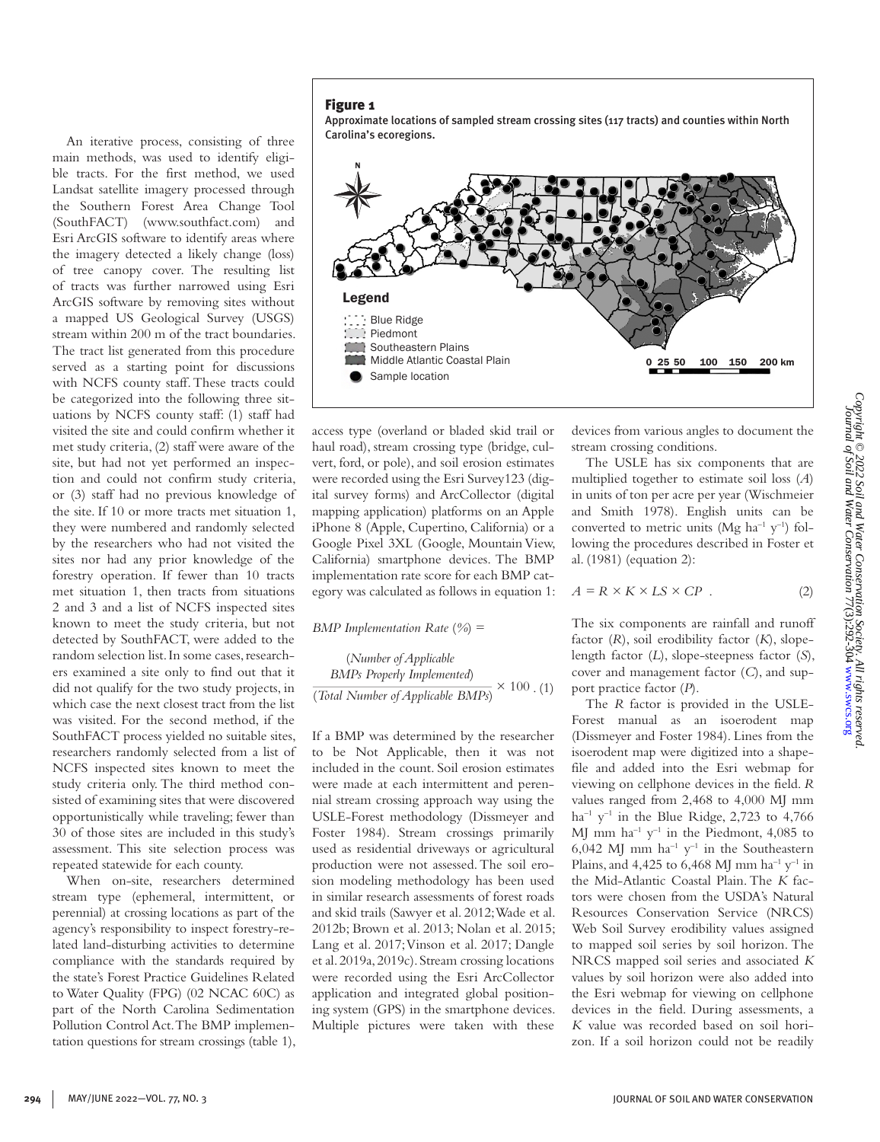Figure 1

An iterative process, consisting of three main methods, was used to identify eligible tracts. For the first method, we used Landsat satellite imagery processed through the Southern Forest Area Change Tool (SouthFACT) (www.southfact.com) and Esri ArcGIS software to identify areas where the imagery detected a likely change (loss) of tree canopy cover. The resulting list of tracts was further narrowed using Esri ArcGIS software by removing sites without a mapped US Geological Survey (USGS) stream within 200 m of the tract boundaries. The tract list generated from this procedure served as a starting point for discussions with NCFS county staff. These tracts could be categorized into the following three situations by NCFS county staff: (1) staff had visited the site and could confirm whether it met study criteria, (2) staff were aware of the site, but had not yet performed an inspection and could not confirm study criteria, or (3) staff had no previous knowledge of the site. If 10 or more tracts met situation 1, they were numbered and randomly selected by the researchers who had not visited the sites nor had any prior knowledge of the forestry operation. If fewer than 10 tracts met situation 1, then tracts from situations 2 and 3 and a list of NCFS inspected sites known to meet the study criteria, but not detected by SouthFACT, were added to the random selection list. In some cases, researchers examined a site only to find out that it did not qualify for the two study projects, in which case the next closest tract from the list was visited. For the second method, if the SouthFACT process yielded no suitable sites, researchers randomly selected from a list of NCFS inspected sites known to meet the study criteria only. The third method consisted of examining sites that were discovered opportunistically while traveling; fewer than 30 of those sites are included in this study's assessment. This site selection process was

Approximate locations of sampled stream crossing sites (117 tracts) and counties within North Carolina's ecoregions.



access type (overland or bladed skid trail or haul road), stream crossing type (bridge, culvert, ford, or pole), and soil erosion estimates were recorded using the Esri Survey123 (digital survey forms) and ArcCollector (digital mapping application) platforms on an Apple iPhone 8 (Apple, Cupertino, California) or a Google Pixel 3XL (Google, Mountain View, California) smartphone devices. The BMP implementation rate score for each BMP category was calculated as follows in equation 1:

*BMP Implementation Rate* (*%*) =

 $\frac{1}{(Total Number of Applied BMPs)} \times 100$ .(1) (*Number of Applicable BMPs Properly Implemented*)

If a BMP was determined by the researcher to be Not Applicable, then it was not included in the count. Soil erosion estimates were made at each intermittent and perennial stream crossing approach way using the USLE-Forest methodology (Dissmeyer and Foster 1984). Stream crossings primarily used as residential driveways or agricultural production were not assessed. The soil erosion modeling methodology has been used in similar research assessments of forest roads and skid trails (Sawyer et al. 2012; Wade et al. 2012b; Brown et al. 2013; Nolan et al. 2015; Lang et al. 2017; Vinson et al. 2017; Dangle et al. 2019a, 2019c). Stream crossing locations were recorded using the Esri ArcCollector application and integrated global positioning system (GPS) in the smartphone devices. Multiple pictures were taken with these devices from various angles to document the stream crossing conditions.

The USLE has six components that are multiplied together to estimate soil loss (*A*) in units of ton per acre per year (Wischmeier and Smith 1978). English units can be converted to metric units (Mg ha<sup>-1</sup> y<sup>-1</sup>) following the procedures described in Foster et al. (1981) (equation 2):

$$
A = R \times K \times LS \times CP \tag{2}
$$

The six components are rainfall and runoff factor (*R*), soil erodibility factor (*K*), slopelength factor (*L*), slope-steepness factor (*S*), cover and management factor (*C*), and support practice factor (*P*).

The *R* factor is provided in the USLE-Forest manual as an isoerodent map (Dissmeyer and Foster 1984). Lines from the isoerodent map were digitized into a shapefile and added into the Esri webmap for viewing on cellphone devices in the field. *R* values ranged from 2,468 to 4,000 MJ mm  $ha^{-1}$  y<sup>-1</sup> in the Blue Ridge, 2,723 to 4,766 MJ mm  $ha^{-1}y^{-1}$  in the Piedmont, 4,085 to 6,042 MJ mm  $ha^{-1}y^{-1}$  in the Southeastern Plains, and 4,425 to 6,468 MJ mm ha<sup>-1</sup>  $v^{-1}$  in the Mid-Atlantic Coastal Plain. The *K* factors were chosen from the USDA's Natural Resources Conservation Service (NRCS) Web Soil Survey erodibility values assigned to mapped soil series by soil horizon. The NRCS mapped soil series and associated *K* values by soil horizon were also added into the Esri webmap for viewing on cellphone devices in the field. During assessments, a *K* value was recorded based on soil horizon. If a soil horizon could not be readily

repeated statewide for each county.

When on-site, researchers determined stream type (ephemeral, intermittent, or perennial) at crossing locations as part of the agency's responsibility to inspect forestry-related land-disturbing activities to determine compliance with the standards required by the state's Forest Practice Guidelines Related to Water Quality (FPG) (02 NCAC 60C) as part of the North Carolina Sedimentation Pollution Control Act. The BMP implementation questions for stream crossings (table 1),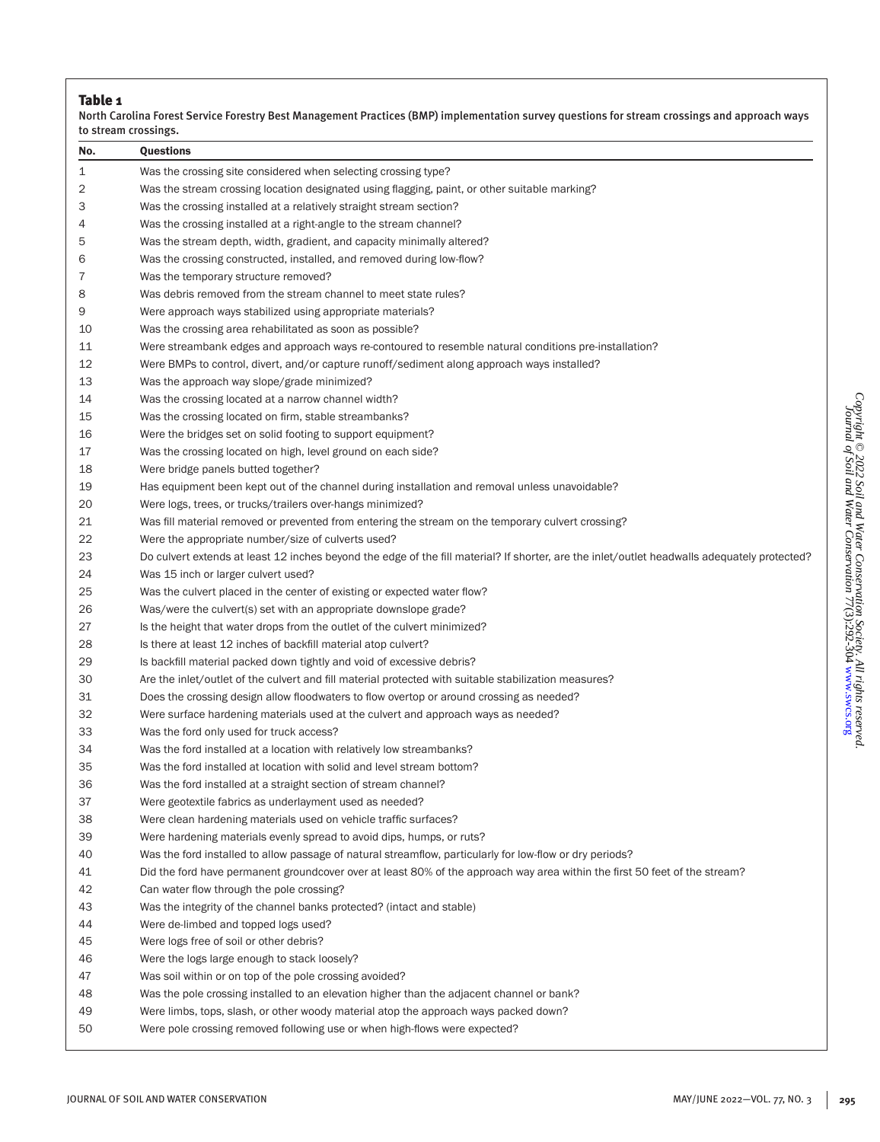|     | North Carolina Forest Service Forestry Best Management Practices (BMP) implementation survey questions for stream crossings and approach ways<br>to stream crossings. |
|-----|-----------------------------------------------------------------------------------------------------------------------------------------------------------------------|
| No. | <b>Questions</b>                                                                                                                                                      |
| 1   | Was the crossing site considered when selecting crossing type?                                                                                                        |
| 2   | Was the stream crossing location designated using flagging, paint, or other suitable marking?                                                                         |
| З   | Was the crossing installed at a relatively straight stream section?                                                                                                   |
| 4   | Was the crossing installed at a right-angle to the stream channel?                                                                                                    |
| 5   | Was the stream depth, width, gradient, and capacity minimally altered?                                                                                                |
| 6   | Was the crossing constructed, installed, and removed during low-flow?                                                                                                 |
| 7   | Was the temporary structure removed?                                                                                                                                  |
| 8   | Was debris removed from the stream channel to meet state rules?                                                                                                       |
| 9   | Were approach ways stabilized using appropriate materials?                                                                                                            |
| 10  | Was the crossing area rehabilitated as soon as possible?                                                                                                              |
| 11  | Were streambank edges and approach ways re-contoured to resemble natural conditions pre-installation?                                                                 |
| 12  | Were BMPs to control, divert, and/or capture runoff/sediment along approach ways installed?                                                                           |
| 13  | Was the approach way slope/grade minimized?                                                                                                                           |
| 14  | Was the crossing located at a narrow channel width?                                                                                                                   |
| 15  | Was the crossing located on firm, stable streambanks?                                                                                                                 |
| 16  | Were the bridges set on solid footing to support equipment?                                                                                                           |
| 17  | Was the crossing located on high, level ground on each side?                                                                                                          |
| 18  | Were bridge panels butted together?                                                                                                                                   |
| 19  | Has equipment been kept out of the channel during installation and removal unless unavoidable?                                                                        |
| 20  | Were logs, trees, or trucks/trailers over-hangs minimized?                                                                                                            |
| 21  | Was fill material removed or prevented from entering the stream on the temporary culvert crossing?                                                                    |
| 22  | Were the appropriate number/size of culverts used?                                                                                                                    |
| 23  | Do culvert extends at least 12 inches beyond the edge of the fill material? If shorter, are the inlet/outlet headwalls adequately protected?                          |
| 24  | Was 15 inch or larger culvert used?                                                                                                                                   |
| 25  | Was the culvert placed in the center of existing or expected water flow?                                                                                              |
| 26  | Was/were the culvert(s) set with an appropriate downslope grade?                                                                                                      |
| 27  | Is the height that water drops from the outlet of the culvert minimized?                                                                                              |
| 28  | Is there at least 12 inches of backfill material atop culvert?                                                                                                        |
| 29  | Is backfill material packed down tightly and void of excessive debris?                                                                                                |
| 30  | Are the inlet/outlet of the culvert and fill material protected with suitable stabilization measures?                                                                 |
| 31  | Does the crossing design allow floodwaters to flow overtop or around crossing as needed?                                                                              |
| 32  | Were surface hardening materials used at the culvert and approach ways as needed?                                                                                     |
| 33  | Was the ford only used for truck access?                                                                                                                              |
| 34  | Was the ford installed at a location with relatively low streambanks?                                                                                                 |
| 35  | Was the ford installed at location with solid and level stream bottom?                                                                                                |
| 36  | Was the ford installed at a straight section of stream channel?                                                                                                       |
| 37  | Were geotextile fabrics as underlayment used as needed?                                                                                                               |
| 38  | Were clean hardening materials used on vehicle traffic surfaces?                                                                                                      |
| 39  | Were hardening materials evenly spread to avoid dips, humps, or ruts?                                                                                                 |
| 40  | Was the ford installed to allow passage of natural streamflow, particularly for low-flow or dry periods?                                                              |
| 41  | Did the ford have permanent groundcover over at least 80% of the approach way area within the first 50 feet of the stream?                                            |
| 42  | Can water flow through the pole crossing?                                                                                                                             |
| 43  | Was the integrity of the channel banks protected? (intact and stable)                                                                                                 |
| 44  | Were de-limbed and topped logs used?                                                                                                                                  |
| 45  | Were logs free of soil or other debris?                                                                                                                               |
| 46  | Were the logs large enough to stack loosely?                                                                                                                          |
| 47  | Was soil within or on top of the pole crossing avoided?                                                                                                               |
| 48  | Was the pole crossing installed to an elevation higher than the adjacent channel or bank?                                                                             |
| 49  | Were limbs, tops, slash, or other woody material atop the approach ways packed down?                                                                                  |
| 50  | Were pole crossing removed following use or when high-flows were expected?                                                                                            |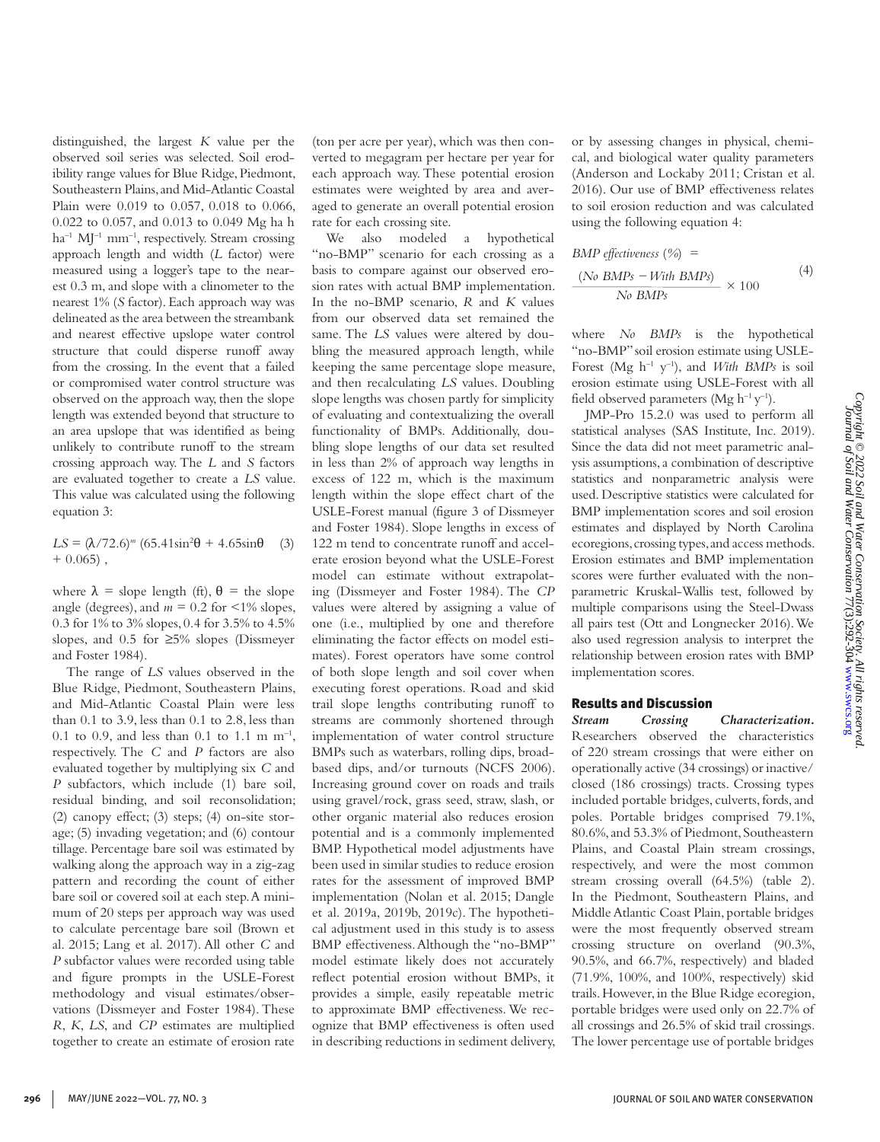distinguished, the largest *K* value per the observed soil series was selected. Soil erodibility range values for Blue Ridge, Piedmont, Southeastern Plains, and Mid-Atlantic Coastal Plain were 0.019 to 0.057, 0.018 to 0.066, 0.022 to 0.057, and 0.013 to 0.049 Mg ha h  $ha^{-1}$  MJ<sup>-1</sup> mm<sup>-1</sup>, respectively. Stream crossing approach length and width (*L* factor) were measured using a logger's tape to the nearest 0.3 m, and slope with a clinometer to the nearest 1% (*S* factor). Each approach way was delineated as the area between the streambank and nearest effective upslope water control structure that could disperse runoff away from the crossing. In the event that a failed or compromised water control structure was observed on the approach way, then the slope length was extended beyond that structure to an area upslope that was identified as being unlikely to contribute runoff to the stream crossing approach way. The *L* and *S* factors are evaluated together to create a *LS* value. This value was calculated using the following equation 3:

*LS* = (λ/72.6)<sup>*m*</sup> (65.41sin<sup>2</sup>θ + 4.65sinθ (3)  $+ 0.065$ ),

where  $\lambda$  = slope length (ft),  $\theta$  = the slope angle (degrees), and  $m = 0.2$  for  $\leq 1\%$  slopes, 0.3 for 1% to 3% slopes, 0.4 for 3.5% to 4.5% slopes, and 0.5 for ≥5% slopes (Dissmeyer and Foster 1984).

The range of *LS* values observed in the Blue Ridge, Piedmont, Southeastern Plains, and Mid-Atlantic Coastal Plain were less than 0.1 to 3.9, less than 0.1 to 2.8, less than 0.1 to 0.9, and less than 0.1 to 1.1 m  $m^{-1}$ , respectively. The *C* and *P* factors are also evaluated together by multiplying six *C* and *P* subfactors, which include (1) bare soil, residual binding, and soil reconsolidation; (2) canopy effect; (3) steps; (4) on-site storage; (5) invading vegetation; and (6) contour tillage. Percentage bare soil was estimated by walking along the approach way in a zig-zag pattern and recording the count of either bare soil or covered soil at each step. A minimum of 20 steps per approach way was used to calculate percentage bare soil (Brown et al. 2015; Lang et al. 2017). All other *C* and *P* subfactor values were recorded using table and figure prompts in the USLE-Forest methodology and visual estimates/observations (Dissmeyer and Foster 1984). These *R*, *K*, *LS*, and *CP* estimates are multiplied together to create an estimate of erosion rate

(ton per acre per year), which was then converted to megagram per hectare per year for each approach way. These potential erosion estimates were weighted by area and averaged to generate an overall potential erosion rate for each crossing site.

We also modeled a hypothetical "no-BMP" scenario for each crossing as a basis to compare against our observed erosion rates with actual BMP implementation. In the no-BMP scenario, *R* and *K* values from our observed data set remained the same. The *LS* values were altered by doubling the measured approach length, while keeping the same percentage slope measure, and then recalculating *LS* values. Doubling slope lengths was chosen partly for simplicity of evaluating and contextualizing the overall functionality of BMPs. Additionally, doubling slope lengths of our data set resulted in less than 2% of approach way lengths in excess of 122 m, which is the maximum length within the slope effect chart of the USLE-Forest manual (figure 3 of Dissmeyer and Foster 1984). Slope lengths in excess of 122 m tend to concentrate runoff and accelerate erosion beyond what the USLE-Forest model can estimate without extrapolating (Dissmeyer and Foster 1984). The *CP*  values were altered by assigning a value of one (i.e., multiplied by one and therefore eliminating the factor effects on model estimates). Forest operators have some control of both slope length and soil cover when executing forest operations. Road and skid trail slope lengths contributing runoff to streams are commonly shortened through implementation of water control structure BMPs such as waterbars, rolling dips, broadbased dips, and/or turnouts (NCFS 2006). Increasing ground cover on roads and trails using gravel/rock, grass seed, straw, slash, or other organic material also reduces erosion potential and is a commonly implemented BMP. Hypothetical model adjustments have been used in similar studies to reduce erosion rates for the assessment of improved BMP implementation (Nolan et al. 2015; Dangle et al. 2019a, 2019b, 2019c). The hypothetical adjustment used in this study is to assess BMP effectiveness. Although the "no-BMP" model estimate likely does not accurately reflect potential erosion without BMPs, it provides a simple, easily repeatable metric to approximate BMP effectiveness. We recognize that BMP effectiveness is often used in describing reductions in sediment delivery, or by assessing changes in physical, chemical, and biological water quality parameters (Anderson and Lockaby 2011; Cristan et al. 2016). Our use of BMP effectiveness relates to soil erosion reduction and was calculated using the following equation 4:

$$
BMP effectiveness (\%) =
$$
\n
$$
\frac{(No\ BMPs - With\ BMPs)}{No\ BMPs} \times 100
$$
\n(4)

where *No BMPs* is the hypothetical "no-BMP" soil erosion estimate using USLE-Forest (Mg h–1 y–1), and *With BMPs* is soil erosion estimate using USLE-Forest with all field observed parameters (Mg  $h^{-1}y^{-1}$ ).

JMP-Pro 15.2.0 was used to perform all statistical analyses (SAS Institute, Inc. 2019). Since the data did not meet parametric analysis assumptions, a combination of descriptive statistics and nonparametric analysis were used. Descriptive statistics were calculated for BMP implementation scores and soil erosion estimates and displayed by North Carolina ecoregions, crossing types, and access methods. Erosion estimates and BMP implementation scores were further evaluated with the nonparametric Kruskal-Wallis test, followed by multiple comparisons using the Steel-Dwass all pairs test (Ott and Longnecker 2016). We also used regression analysis to interpret the relationship between erosion rates with BMP implementation scores.

#### Results and Discussion

*Stream Crossing Characterization.*  Researchers observed the characteristics of 220 stream crossings that were either on operationally active (34 crossings) or inactive/ closed (186 crossings) tracts. Crossing types included portable bridges, culverts, fords, and poles. Portable bridges comprised 79.1%, 80.6%, and 53.3% of Piedmont, Southeastern Plains, and Coastal Plain stream crossings, respectively, and were the most common stream crossing overall (64.5%) (table 2). In the Piedmont, Southeastern Plains, and Middle Atlantic Coast Plain, portable bridges were the most frequently observed stream crossing structure on overland (90.3%, 90.5%, and 66.7%, respectively) and bladed (71.9%, 100%, and 100%, respectively) skid trails. However, in the Blue Ridge ecoregion, portable bridges were used only on 22.7% of all crossings and 26.5% of skid trail crossings. The lower percentage use of portable bridges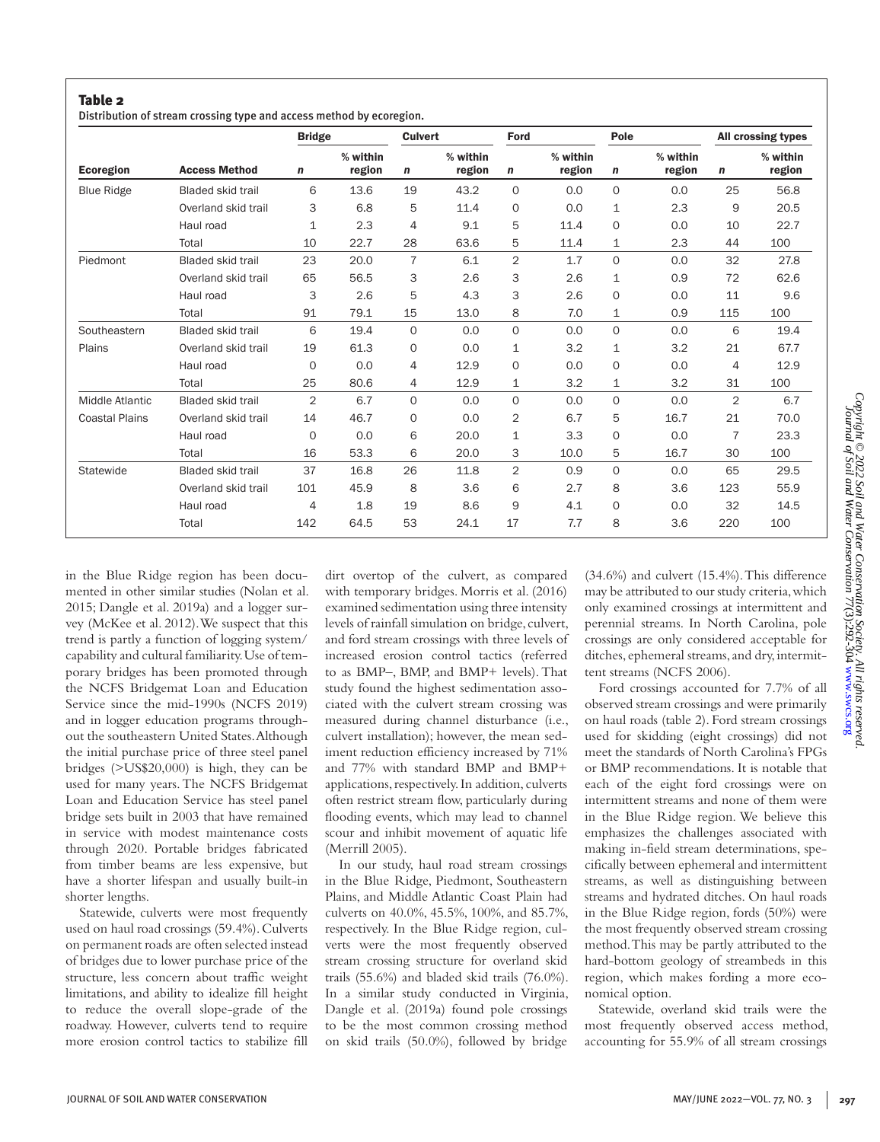Distribution of stream crossing type and access method by ecoregion.

|                       |                          | <b>Bridge</b> |                    | <b>Culvert</b> |                    | Ford           |                    | Pole         |                    |                | All crossing types |
|-----------------------|--------------------------|---------------|--------------------|----------------|--------------------|----------------|--------------------|--------------|--------------------|----------------|--------------------|
| <b>Ecoregion</b>      | <b>Access Method</b>     | n             | % within<br>region | n              | % within<br>region | n              | % within<br>region | n            | % within<br>region | $\mathbf n$    | % within<br>region |
| <b>Blue Ridge</b>     | <b>Bladed skid trail</b> | 6             | 13.6               | 19             | 43.2               | $\Omega$       | 0.0                | $\Omega$     | 0.0                | 25             | 56.8               |
|                       | Overland skid trail      | 3             | 6.8                | 5              | 11.4               | $\circ$        | 0.0                | $\mathbf{1}$ | 2.3                | 9              | 20.5               |
|                       | Haul road                | 1             | 2.3                | 4              | 9.1                | 5              | 11.4               | $\mathbf 0$  | 0.0                | 10             | 22.7               |
|                       | Total                    | 10            | 22.7               | 28             | 63.6               | 5              | 11.4               | 1            | 2.3                | 44             | 100                |
| Piedmont              | <b>Bladed skid trail</b> | 23            | 20.0               | $\overline{7}$ | 6.1                | 2              | 1.7                | $\Omega$     | 0.0                | 32             | 27.8               |
|                       | Overland skid trail      | 65            | 56.5               | 3              | 2.6                | 3              | 2.6                | $\mathbf 1$  | 0.9                | 72             | 62.6               |
|                       | Haul road                | 3             | 2.6                | 5              | 4.3                | 3              | 2.6                | $\mathbf 0$  | 0.0                | 11             | 9.6                |
|                       | Total                    | 91            | 79.1               | 15             | 13.0               | 8              | 7.0                | 1            | 0.9                | 115            | 100                |
| Southeastern          | <b>Bladed skid trail</b> | 6             | 19.4               | $\circ$        | 0.0                | $\Omega$       | 0.0                | $\Omega$     | 0.0                | 6              | 19.4               |
| Plains                | Overland skid trail      | 19            | 61.3               | $\mathbf 0$    | 0.0                | 1              | 3.2                | $\mathbf{1}$ | 3.2                | 21             | 67.7               |
|                       | Haul road                | $\mathbf 0$   | 0.0                | 4              | 12.9               | $\circ$        | 0.0                | $\Omega$     | 0.0                | 4              | 12.9               |
|                       | Total                    | 25            | 80.6               | 4              | 12.9               | $\mathbf{1}$   | 3.2                | $\mathbf{1}$ | 3.2                | 31             | 100                |
| Middle Atlantic       | <b>Bladed skid trail</b> | 2             | 6.7                | $\circ$        | 0.0                | $\Omega$       | 0.0                | $\Omega$     | 0.0                | $\overline{2}$ | 6.7                |
| <b>Coastal Plains</b> | Overland skid trail      | 14            | 46.7               | 0              | 0.0                | $\overline{2}$ | 6.7                | 5            | 16.7               | 21             | 70.0               |
|                       | Haul road                | $\mathbf 0$   | 0.0                | 6              | 20.0               | $\mathbf{1}$   | 3.3                | $\Omega$     | 0.0                | 7              | 23.3               |
|                       | Total                    | 16            | 53.3               | 6              | 20.0               | 3              | 10.0               | 5            | 16.7               | 30             | 100                |
| Statewide             | <b>Bladed skid trail</b> | 37            | 16.8               | 26             | 11.8               | 2              | 0.9                | $\Omega$     | 0.0                | 65             | 29.5               |
|                       | Overland skid trail      | 101           | 45.9               | 8              | 3.6                | 6              | 2.7                | 8            | 3.6                | 123            | 55.9               |
|                       | Haul road                | 4             | 1.8                | 19             | 8.6                | 9              | 4.1                | $\Omega$     | 0.0                | 32             | 14.5               |
|                       | Total                    | 142           | 64.5               | 53             | 24.1               | 17             | 7.7                | 8            | 3.6                | 220            | 100                |

in the Blue Ridge region has been documented in other similar studies (Nolan et al. 2015; Dangle et al. 2019a) and a logger survey (McKee et al. 2012). We suspect that this trend is partly a function of logging system/ capability and cultural familiarity. Use of temporary bridges has been promoted through the NCFS Bridgemat Loan and Education Service since the mid-1990s (NCFS 2019) and in logger education programs throughout the southeastern United States. Although the initial purchase price of three steel panel bridges (>US\$20,000) is high, they can be used for many years. The NCFS Bridgemat Loan and Education Service has steel panel bridge sets built in 2003 that have remained in service with modest maintenance costs through 2020. Portable bridges fabricated from timber beams are less expensive, but have a shorter lifespan and usually built-in shorter lengths.

Statewide, culverts were most frequently used on haul road crossings (59.4%). Culverts on permanent roads are often selected instead of bridges due to lower purchase price of the structure, less concern about traffic weight limitations, and ability to idealize fill height to reduce the overall slope-grade of the roadway. However, culverts tend to require more erosion control tactics to stabilize fill dirt overtop of the culvert, as compared with temporary bridges. Morris et al. (2016) examined sedimentation using three intensity levels of rainfall simulation on bridge, culvert, and ford stream crossings with three levels of increased erosion control tactics (referred to as BMP–, BMP, and BMP+ levels). That study found the highest sedimentation associated with the culvert stream crossing was measured during channel disturbance (i.e., culvert installation); however, the mean sediment reduction efficiency increased by 71% and 77% with standard BMP and BMP+ applications, respectively. In addition, culverts often restrict stream flow, particularly during flooding events, which may lead to channel scour and inhibit movement of aquatic life (Merrill 2005).

In our study, haul road stream crossings in the Blue Ridge, Piedmont, Southeastern Plains, and Middle Atlantic Coast Plain had culverts on 40.0%, 45.5%, 100%, and 85.7%, respectively. In the Blue Ridge region, culverts were the most frequently observed stream crossing structure for overland skid trails (55.6%) and bladed skid trails (76.0%). In a similar study conducted in Virginia, Dangle et al. (2019a) found pole crossings to be the most common crossing method on skid trails (50.0%), followed by bridge

(34.6%) and culvert (15.4%). This difference may be attributed to our study criteria, which only examined crossings at intermittent and perennial streams. In North Carolina, pole crossings are only considered acceptable for ditches, ephemeral streams, and dry, intermittent streams (NCFS 2006).

Ford crossings accounted for 7.7% of all observed stream crossings and were primarily on haul roads (table 2). Ford stream crossings used for skidding (eight crossings) did not meet the standards of North Carolina's FPGs or BMP recommendations. It is notable that each of the eight ford crossings were on intermittent streams and none of them were in the Blue Ridge region. We believe this emphasizes the challenges associated with making in-field stream determinations, specifically between ephemeral and intermittent streams, as well as distinguishing between streams and hydrated ditches. On haul roads in the Blue Ridge region, fords (50%) were the most frequently observed stream crossing method. This may be partly attributed to the hard-bottom geology of streambeds in this region, which makes fording a more economical option.

Statewide, overland skid trails were the most frequently observed access method, accounting for 55.9% of all stream crossings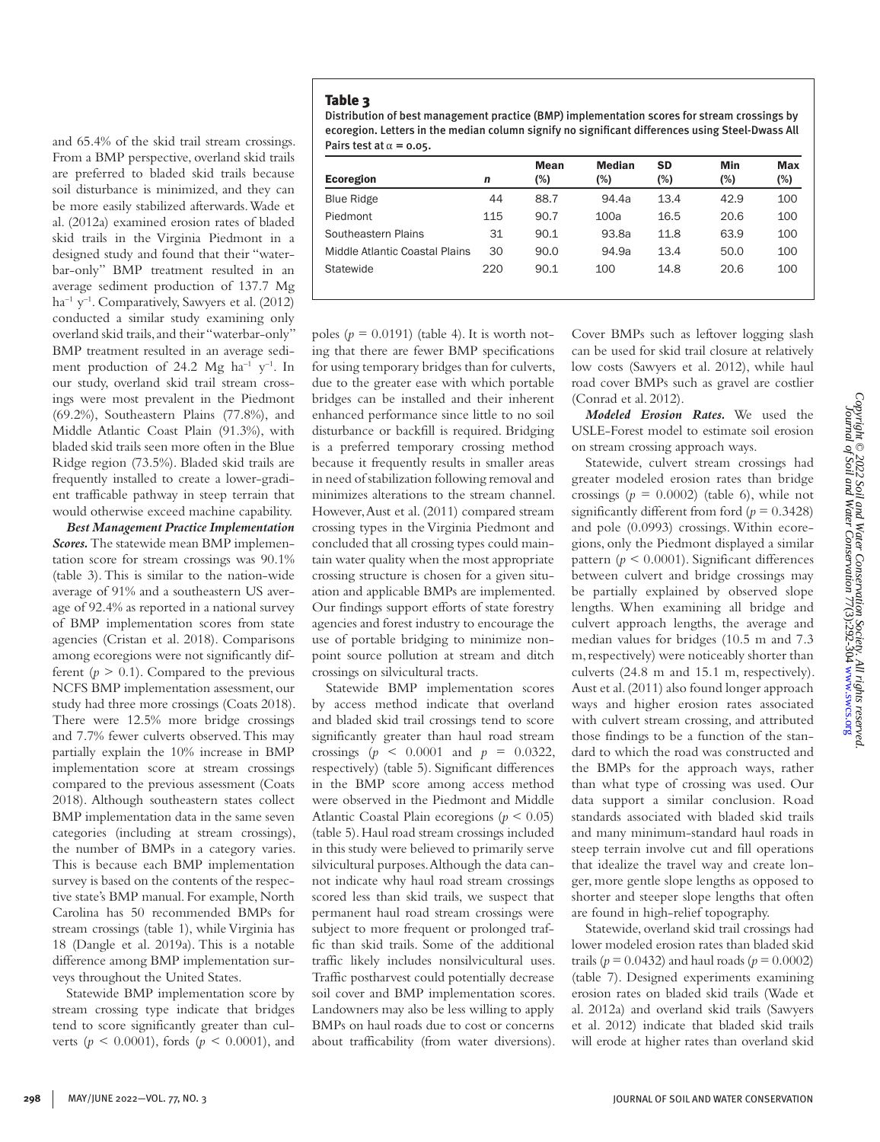Distribution of best management practice (BMP) implementation scores for stream crossings by ecoregion. Letters in the median column signify no significant differences using Steel-Dwass All Pairs test at  $\alpha = 0.05$ .

| Ecoregion                      | n   | <b>Mean</b><br>(%) | <b>Median</b><br>(%) | SD<br>(%) | Min<br>(%) | <b>Max</b><br>(%) |
|--------------------------------|-----|--------------------|----------------------|-----------|------------|-------------------|
| <b>Blue Ridge</b>              | 44  | 88.7               | 94.4a                | 13.4      | 42.9       | 100               |
| Piedmont                       | 115 | 90.7               | 100a                 | 16.5      | 20.6       | 100               |
| Southeastern Plains            | 31  | 90.1               | 93.8a                | 11.8      | 63.9       | 100               |
| Middle Atlantic Coastal Plains | 30  | 90.0               | 94.9a                | 13.4      | 50.0       | 100               |
| Statewide                      | 220 | 90.1               | 100                  | 14.8      | 20.6       | 100               |

From a BMP perspective, overland skid trails are preferred to bladed skid trails because soil disturbance is minimized, and they can be more easily stabilized afterwards. Wade et al. (2012a) examined erosion rates of bladed skid trails in the Virginia Piedmont in a designed study and found that their "waterbar-only" BMP treatment resulted in an average sediment production of 137.7 Mg  $ha^{-1}$  y<sup>-1</sup>. Comparatively, Sawyers et al. (2012) conducted a similar study examining only overland skid trails, and their "waterbar-only" BMP treatment resulted in an average sediment production of 24.2 Mg ha<sup>-1</sup> y<sup>-1</sup>. In our study, overland skid trail stream crossings were most prevalent in the Piedmont (69.2%), Southeastern Plains (77.8%), and Middle Atlantic Coast Plain (91.3%), with bladed skid trails seen more often in the Blue Ridge region (73.5%). Bladed skid trails are frequently installed to create a lower-gradient trafficable pathway in steep terrain that would otherwise exceed machine capability.

and 65.4% of the skid trail stream crossings.

*Best Management Practice Implementation Scores.* The statewide mean BMP implementation score for stream crossings was 90.1% (table 3). This is similar to the nation-wide average of 91% and a southeastern US average of 92.4% as reported in a national survey of BMP implementation scores from state agencies (Cristan et al. 2018). Comparisons among ecoregions were not significantly different  $(p > 0.1)$ . Compared to the previous NCFS BMP implementation assessment, our study had three more crossings (Coats 2018). There were 12.5% more bridge crossings and 7.7% fewer culverts observed. This may partially explain the 10% increase in BMP implementation score at stream crossings compared to the previous assessment (Coats 2018). Although southeastern states collect BMP implementation data in the same seven categories (including at stream crossings), the number of BMPs in a category varies. This is because each BMP implementation survey is based on the contents of the respective state's BMP manual. For example, North Carolina has 50 recommended BMPs for stream crossings (table 1), while Virginia has 18 (Dangle et al. 2019a). This is a notable difference among BMP implementation surveys throughout the United States.

Statewide BMP implementation score by stream crossing type indicate that bridges tend to score significantly greater than culverts (*p* < 0.0001), fords (*p* < 0.0001), and

poles  $(p = 0.0191)$  (table 4). It is worth noting that there are fewer BMP specifications for using temporary bridges than for culverts, due to the greater ease with which portable bridges can be installed and their inherent enhanced performance since little to no soil disturbance or backfill is required. Bridging is a preferred temporary crossing method because it frequently results in smaller areas in need of stabilization following removal and minimizes alterations to the stream channel. However, Aust et al. (2011) compared stream crossing types in the Virginia Piedmont and concluded that all crossing types could maintain water quality when the most appropriate crossing structure is chosen for a given situation and applicable BMPs are implemented. Our findings support efforts of state forestry agencies and forest industry to encourage the use of portable bridging to minimize nonpoint source pollution at stream and ditch crossings on silvicultural tracts.

Statewide BMP implementation scores by access method indicate that overland and bladed skid trail crossings tend to score significantly greater than haul road stream crossings ( $p \le 0.0001$  and  $p = 0.0322$ , respectively) (table 5). Significant differences in the BMP score among access method were observed in the Piedmont and Middle Atlantic Coastal Plain ecoregions (*p* < 0.05) (table 5). Haul road stream crossings included in this study were believed to primarily serve silvicultural purposes. Although the data cannot indicate why haul road stream crossings scored less than skid trails, we suspect that permanent haul road stream crossings were subject to more frequent or prolonged traffic than skid trails. Some of the additional traffic likely includes nonsilvicultural uses. Traffic postharvest could potentially decrease soil cover and BMP implementation scores. Landowners may also be less willing to apply BMPs on haul roads due to cost or concerns about trafficability (from water diversions). Cover BMPs such as leftover logging slash can be used for skid trail closure at relatively low costs (Sawyers et al. 2012), while haul road cover BMPs such as gravel are costlier (Conrad et al. 2012).

*Modeled Erosion Rates.* We used the USLE-Forest model to estimate soil erosion on stream crossing approach ways.

Statewide, culvert stream crossings had greater modeled erosion rates than bridge crossings  $(p = 0.0002)$  (table 6), while not significantly different from ford  $(p = 0.3428)$ and pole (0.0993) crossings. Within ecoregions, only the Piedmont displayed a similar pattern ( $p \leq 0.0001$ ). Significant differences between culvert and bridge crossings may be partially explained by observed slope lengths. When examining all bridge and culvert approach lengths, the average and median values for bridges (10.5 m and 7.3 m, respectively) were noticeably shorter than culverts (24.8 m and 15.1 m, respectively). Aust et al. (2011) also found longer approach ways and higher erosion rates associated with culvert stream crossing, and attributed those findings to be a function of the standard to which the road was constructed and the BMPs for the approach ways, rather than what type of crossing was used. Our data support a similar conclusion. Road standards associated with bladed skid trails and many minimum-standard haul roads in steep terrain involve cut and fill operations that idealize the travel way and create longer, more gentle slope lengths as opposed to shorter and steeper slope lengths that often are found in high-relief topography.

Statewide, overland skid trail crossings had lower modeled erosion rates than bladed skid trails ( $p = 0.0432$ ) and haul roads ( $p = 0.0002$ ) (table 7). Designed experiments examining erosion rates on bladed skid trails (Wade et al. 2012a) and overland skid trails (Sawyers et al. 2012) indicate that bladed skid trails will erode at higher rates than overland skid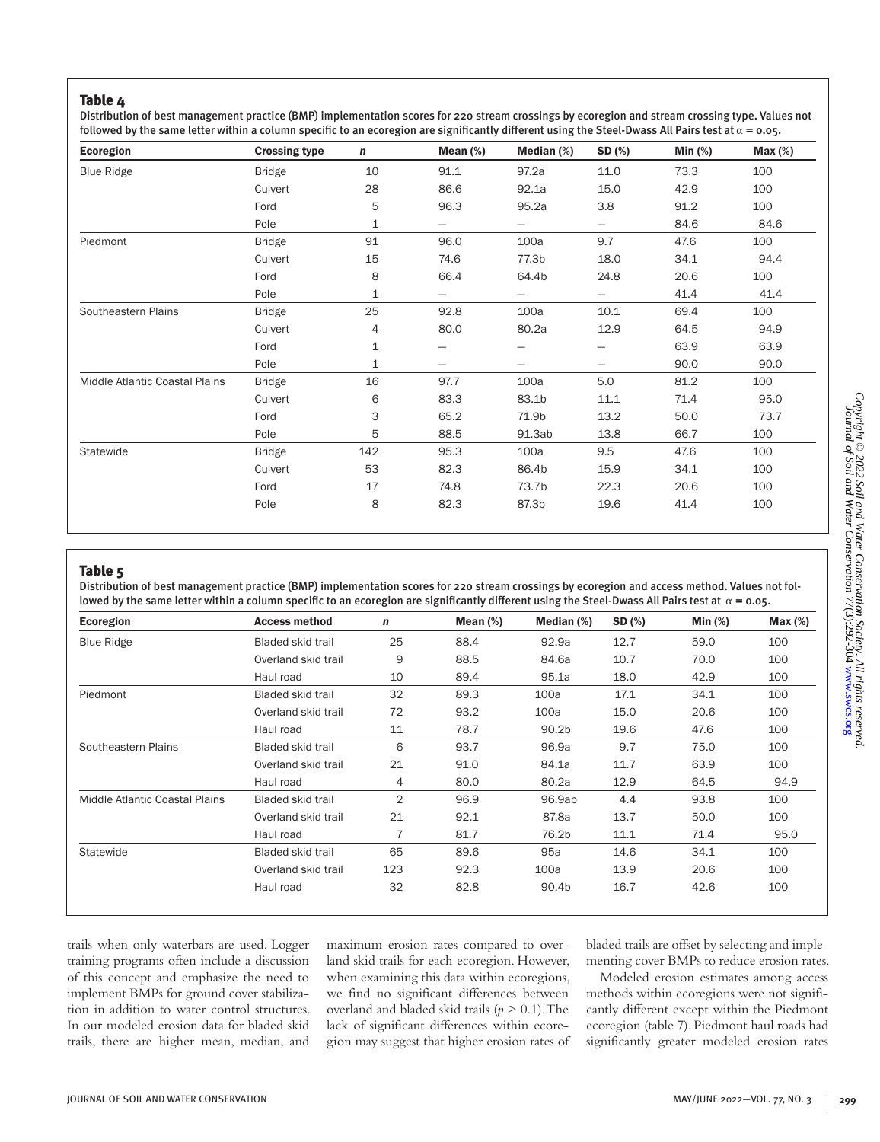Distribution of best management practice (BMP) implementation scores for 220 stream crossings by ecoregion and stream crossing type. Values not followed by the same letter within a column specific to an ecoregion are significantly different using the Steel-Dwass All Pairs test at  $\alpha$  = 0.05.

| Ecoregion                      | <b>Crossing type</b> | n   | Mean $(\%)$       | Median $(\%)$            | SD (%)                   | Min $(\%)$ | $Max (\%)$ |
|--------------------------------|----------------------|-----|-------------------|--------------------------|--------------------------|------------|------------|
| <b>Blue Ridge</b>              | <b>Bridge</b>        | 10  | 91.1              | 97.2a                    | 11.0                     | 73.3       | 100        |
|                                | Culvert              | 28  | 86.6              | 92.1a                    | 15.0                     | 42.9       | 100        |
|                                | Ford                 | 5   | 96.3              | 95.2a                    | 3.8                      | 91.2       | 100        |
|                                | Pole                 | 1   | $\qquad \qquad -$ | $\overline{\phantom{0}}$ | $\qquad \qquad -$        | 84.6       | 84.6       |
| Piedmont                       | <b>Bridge</b>        | 91  | 96.0              | 100a                     | 9.7                      | 47.6       | 100        |
|                                | Culvert              | 15  | 74.6              | 77.3b                    | 18.0                     | 34.1       | 94.4       |
|                                | Ford                 | 8   | 66.4              | 64.4b                    | 24.8                     | 20.6       | 100        |
|                                | Pole                 | 1   | $\qquad \qquad -$ | $\overline{\phantom{0}}$ | $\overline{\phantom{0}}$ | 41.4       | 41.4       |
| Southeastern Plains            | <b>Bridge</b>        | 25  | 92.8              | 100a                     | 10.1                     | 69.4       | 100        |
|                                | Culvert              | 4   | 80.0              | 80.2a                    | 12.9                     | 64.5       | 94.9       |
|                                | Ford                 | 1   |                   |                          |                          | 63.9       | 63.9       |
|                                | Pole                 | 1   |                   |                          |                          | 90.0       | 90.0       |
| Middle Atlantic Coastal Plains | <b>Bridge</b>        | 16  | 97.7              | 100a                     | 5.0                      | 81.2       | 100        |
|                                | Culvert              | 6   | 83.3              | 83.1b                    | 11.1                     | 71.4       | 95.0       |
|                                | Ford                 | 3   | 65.2              | 71.9b                    | 13.2                     | 50.0       | 73.7       |
|                                | Pole                 | 5   | 88.5              | 91.3ab                   | 13.8                     | 66.7       | 100        |
| Statewide                      | <b>Bridge</b>        | 142 | 95.3              | 100a                     | 9.5                      | 47.6       | 100        |
|                                | Culvert              | 53  | 82.3              | 86.4b                    | 15.9                     | 34.1       | 100        |
|                                | Ford                 | 17  | 74.8              | 73.7b                    | 22.3                     | 20.6       | 100        |
|                                | Pole                 | 8   | 82.3              | 87.3b                    | 19.6                     | 41.4       | 100        |

#### Table 5

Distribution of best management practice (BMP) implementation scores for 220 stream crossings by ecoregion and access method. Values not followed by the same letter within a column specific to an ecoregion are significantly different using the Steel-Dwass All Pairs test at  $\alpha$  = 0.05.

| Ecoregion                      | <b>Access method</b>     | n              | Mean $(\%)$ | Median (%)        | SD (%) | Min $(%)$ | $Max(\%)$ |
|--------------------------------|--------------------------|----------------|-------------|-------------------|--------|-----------|-----------|
| <b>Blue Ridge</b>              | <b>Bladed skid trail</b> | 25             | 88.4        | 92.9a             | 12.7   | 59.0      | 100       |
|                                | Overland skid trail      | 9              | 88.5        | 84.6a             | 10.7   | 70.0      | 100       |
|                                | Haul road                | 10             | 89.4        | 95.1a             | 18.0   | 42.9      | 100       |
| Piedmont                       | <b>Bladed skid trail</b> | 32             | 89.3        | 100a              | 17.1   | 34.1      | 100       |
|                                | Overland skid trail      | 72             | 93.2        | 100a              | 15.0   | 20.6      | 100       |
|                                | Haul road                | 11             | 78.7        | 90.2 <sub>b</sub> | 19.6   | 47.6      | 100       |
| Southeastern Plains            | <b>Bladed skid trail</b> | 6              | 93.7        | 96.9a             | 9.7    | 75.0      | 100       |
|                                | Overland skid trail      | 21             | 91.0        | 84.1a             | 11.7   | 63.9      | 100       |
|                                | Haul road                | $\overline{4}$ | 80.0        | 80.2a             | 12.9   | 64.5      | 94.9      |
| Middle Atlantic Coastal Plains | <b>Bladed skid trail</b> | $\overline{2}$ | 96.9        | 96.9ab            | 4.4    | 93.8      | 100       |
|                                | Overland skid trail      | 21             | 92.1        | 87.8a             | 13.7   | 50.0      | 100       |
|                                | Haul road                | 7              | 81.7        | 76.2b             | 11.1   | 71.4      | 95.0      |
| Statewide                      | <b>Bladed skid trail</b> | 65             | 89.6        | 95a               | 14.6   | 34.1      | 100       |
|                                | Overland skid trail      | 123            | 92.3        | 100a              | 13.9   | 20.6      | 100       |
|                                | Haul road                | 32             | 82.8        | 90.4b             | 16.7   | 42.6      | 100       |

trails when only waterbars are used. Logger training programs often include a discussion of this concept and emphasize the need to implement BMPs for ground cover stabilization in addition to water control structures. In our modeled erosion data for bladed skid trails, there are higher mean, median, and maximum erosion rates compared to overland skid trails for each ecoregion. However, when examining this data within ecoregions, we find no significant differences between overland and bladed skid trails (*p* > 0.1). The lack of significant differences within ecoregion may suggest that higher erosion rates of bladed trails are offset by selecting and implementing cover BMPs to reduce erosion rates.

Modeled erosion estimates among access methods within ecoregions were not significantly different except within the Piedmont ecoregion (table 7). Piedmont haul roads had significantly greater modeled erosion rates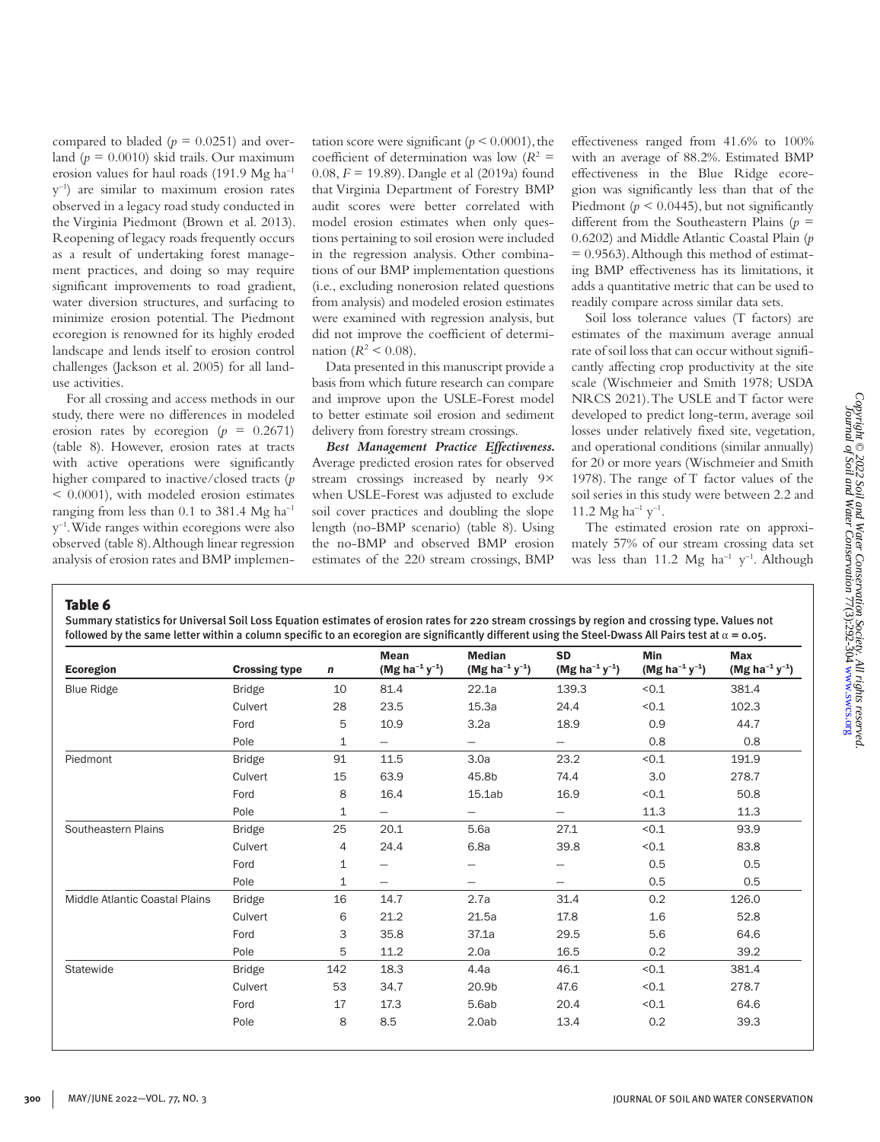compared to bladed ( $p = 0.0251$ ) and overland  $(p = 0.0010)$  skid trails. Our maximum erosion values for haul roads (191.9 Mg ha–1  $y^{-1}$ ) are similar to maximum erosion rates observed in a legacy road study conducted in the Virginia Piedmont (Brown et al. 2013). Reopening of legacy roads frequently occurs as a result of undertaking forest management practices, and doing so may require significant improvements to road gradient, water diversion structures, and surfacing to minimize erosion potential. The Piedmont ecoregion is renowned for its highly eroded landscape and lends itself to erosion control challenges (Jackson et al. 2005) for all landuse activities.

For all crossing and access methods in our study, there were no differences in modeled erosion rates by ecoregion  $(p = 0.2671)$ (table 8). However, erosion rates at tracts with active operations were significantly higher compared to inactive/closed tracts (*p* < 0.0001), with modeled erosion estimates ranging from less than  $0.1$  to 381.4 Mg ha<sup>-1</sup>  $y^{-1}$ . Wide ranges within ecoregions were also observed (table 8). Although linear regression analysis of erosion rates and BMP implementation score were significant ( $p \le 0.0001$ ), the coefficient of determination was low  $(R^2 =$ 0.08, *F* = 19.89). Dangle et al (2019a) found that Virginia Department of Forestry BMP audit scores were better correlated with model erosion estimates when only questions pertaining to soil erosion were included in the regression analysis. Other combinations of our BMP implementation questions (i.e., excluding nonerosion related questions from analysis) and modeled erosion estimates were examined with regression analysis, but did not improve the coefficient of determination ( $R^2$  < 0.08).

Data presented in this manuscript provide a basis from which future research can compare and improve upon the USLE-Forest model to better estimate soil erosion and sediment delivery from forestry stream crossings.

*Best Management Practice Effectiveness.*  Average predicted erosion rates for observed stream crossings increased by nearly 9× when USLE-Forest was adjusted to exclude soil cover practices and doubling the slope length (no-BMP scenario) (table 8). Using the no-BMP and observed BMP erosion estimates of the 220 stream crossings, BMP

effectiveness ranged from 41.6% to 100% with an average of 88.2%. Estimated BMP effectiveness in the Blue Ridge ecoregion was significantly less than that of the Piedmont ( $p < 0.0445$ ), but not significantly different from the Southeastern Plains (*p* = 0.6202) and Middle Atlantic Coastal Plain (*p*   $= 0.9563$ ). Although this method of estimating BMP effectiveness has its limitations, it adds a quantitative metric that can be used to readily compare across similar data sets.

Soil loss tolerance values (T factors) are estimates of the maximum average annual rate of soil loss that can occur without significantly affecting crop productivity at the site scale (Wischmeier and Smith 1978; USDA NRCS 2021). The USLE and T factor were developed to predict long-term, average soil losses under relatively fixed site, vegetation, and operational conditions (similar annually) for 20 or more years (Wischmeier and Smith 1978). The range of T factor values of the soil series in this study were between 2.2 and 11.2 Mg ha<sup>-1</sup> y<sup>-1</sup>.

The estimated erosion rate on approximately 57% of our stream crossing data set was less than 11.2 Mg ha<sup>-1</sup>  $v^{-1}$ . Although

Table 6

Summary statistics for Universal Soil Loss Equation estimates of erosion rates for 220 stream crossings by region and crossing type. Values not followed by the same letter within a column specific to an ecoregion are significantly different using the Steel-Dwass All Pairs test at  $\alpha$  = 0.05.

| Ecoregion                      | <b>Crossing type</b> | $\mathbf n$ | Mean<br>(Mg ha <sup>-1</sup> y <sup>-1</sup> ) | <b>Median</b><br>(Mg ha <sup>-1</sup> y <sup>-1</sup> ) | <b>SD</b><br>(Mg ha <sup>-1</sup> y <sup>-1</sup> ) | <b>Min</b><br>$(Mg ha^{-1} y^{-1})$ | <b>Max</b><br>(Mg ha <sup>-1</sup> $y^{-1}$ ) |
|--------------------------------|----------------------|-------------|------------------------------------------------|---------------------------------------------------------|-----------------------------------------------------|-------------------------------------|-----------------------------------------------|
| <b>Blue Ridge</b>              | <b>Bridge</b>        | 10          | 81.4                                           | 22.1a                                                   | 139.3                                               | < 0.1                               | 381.4                                         |
|                                | Culvert              | 28          | 23.5                                           | 15.3a                                                   | 24.4                                                | < 0.1                               | 102.3                                         |
|                                | Ford                 | 5           | 10.9                                           | 3.2a                                                    | 18.9                                                | 0.9                                 | 44.7                                          |
|                                | Pole                 | $\mathbf 1$ | $\overline{\phantom{0}}$                       | $\overline{\phantom{0}}$                                | $\overline{\phantom{m}}$                            | 0.8                                 | 0.8                                           |
| Piedmont                       | <b>Bridge</b>        | 91          | 11.5                                           | 3.0a                                                    | 23.2                                                | < 0.1                               | 191.9                                         |
|                                | Culvert              | 15          | 63.9                                           | 45.8b                                                   | 74.4                                                | 3.0                                 | 278.7                                         |
|                                | Ford                 | 8           | 16.4                                           | 15.1ab                                                  | 16.9                                                | < 0.1                               | 50.8                                          |
|                                | Pole                 | 1           |                                                | $\overline{\phantom{0}}$                                | $\qquad \qquad -$                                   | 11.3                                | 11.3                                          |
| Southeastern Plains            | <b>Bridge</b>        | 25          | 20.1                                           | 5.6a                                                    | 27.1                                                | < 0.1                               | 93.9                                          |
|                                | Culvert              | 4           | 24.4                                           | 6.8a                                                    | 39.8                                                | < 0.1                               | 83.8                                          |
|                                | Ford                 | $\mathbf 1$ |                                                |                                                         |                                                     | 0.5                                 | 0.5                                           |
|                                | Pole                 | 1           |                                                | $\overline{\phantom{0}}$                                | $\qquad \qquad -$                                   | 0.5                                 | 0.5                                           |
| Middle Atlantic Coastal Plains | <b>Bridge</b>        | 16          | 14.7                                           | 2.7a                                                    | 31.4                                                | 0.2                                 | 126.0                                         |
|                                | Culvert              | 6           | 21.2                                           | 21.5a                                                   | 17.8                                                | 1.6                                 | 52.8                                          |
|                                | Ford                 | 3           | 35.8                                           | 37.1a                                                   | 29.5                                                | 5.6                                 | 64.6                                          |
|                                | Pole                 | 5           | 11.2                                           | 2.0a                                                    | 16.5                                                | 0.2                                 | 39.2                                          |
| Statewide                      | <b>Bridge</b>        | 142         | 18.3                                           | 4.4a                                                    | 46.1                                                | < 0.1                               | 381.4                                         |
|                                | Culvert              | 53          | 34.7                                           | 20.9b                                                   | 47.6                                                | < 0.1                               | 278.7                                         |
|                                | Ford                 | 17          | 17.3                                           | 5.6ab                                                   | 20.4                                                | < 0.1                               | 64.6                                          |
|                                | Pole                 | 8           | 8.5                                            | 2.0ab                                                   | 13.4                                                | 0.2                                 | 39.3                                          |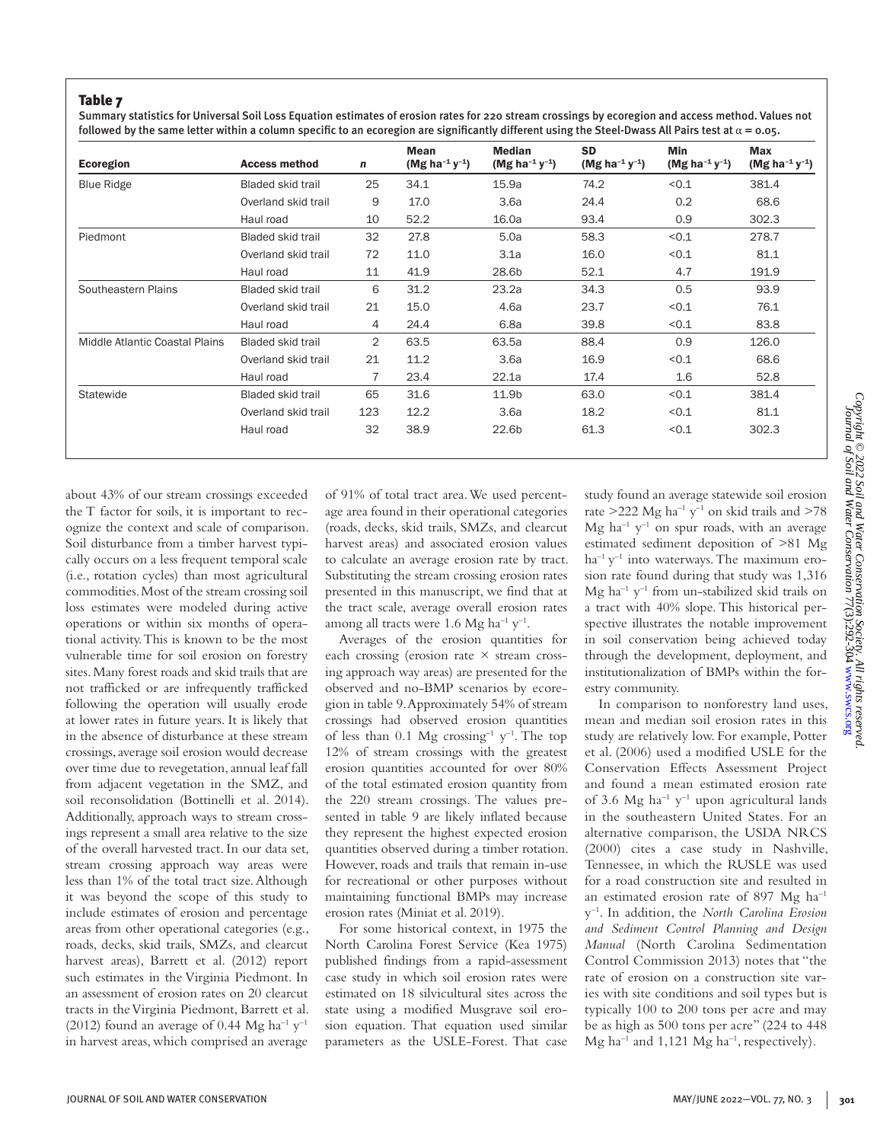Summary statistics for Universal Soil Loss Equation estimates of erosion rates for 220 stream crossings by ecoregion and access method. Values not followed by the same letter within a column specific to an ecoregion are significantly different using the Steel-Dwass All Pairs test at  $\alpha$  = 0.05.

| Ecoregion                      | <b>Access method</b>     | $\mathbf n$    | <b>Mean</b><br>(Mg ha <sup>-1</sup> y <sup>-1</sup> ) | <b>Median</b><br>(Mg ha <sup>-1</sup> y <sup>-1</sup> ) | <b>SD</b><br>(Mg ha <sup>-1</sup> $y^{-1}$ ) | <b>Min</b><br>(Mg ha <sup>-1</sup> y <sup>-1</sup> ) | <b>Max</b><br>(Mg ha <sup>-1</sup> y <sup>-1</sup> ) |
|--------------------------------|--------------------------|----------------|-------------------------------------------------------|---------------------------------------------------------|----------------------------------------------|------------------------------------------------------|------------------------------------------------------|
| <b>Blue Ridge</b>              | <b>Bladed skid trail</b> | 25             | 34.1                                                  | 15.9a                                                   | 74.2                                         | < 0.1                                                | 381.4                                                |
|                                | Overland skid trail      | 9              | 17.0                                                  | 3.6a                                                    | 24.4                                         | 0.2                                                  | 68.6                                                 |
|                                | Haul road                | 10             | 52.2                                                  | 16.0a                                                   | 93.4                                         | 0.9                                                  | 302.3                                                |
| Piedmont                       | <b>Bladed skid trail</b> | 32             | 27.8                                                  | 5.0a                                                    | 58.3                                         | < 0.1                                                | 278.7                                                |
|                                | Overland skid trail      | 72             | 11.0                                                  | 3.1a                                                    | 16.0                                         | < 0.1                                                | 81.1                                                 |
|                                | Haul road                | 11             | 41.9                                                  | 28.6b                                                   | 52.1                                         | 4.7                                                  | 191.9                                                |
| Southeastern Plains            | <b>Bladed skid trail</b> | 6              | 31.2                                                  | 23.2a                                                   | 34.3                                         | 0.5                                                  | 93.9                                                 |
|                                | Overland skid trail      | 21             | 15.0                                                  | 4.6a                                                    | 23.7                                         | < 0.1                                                | 76.1                                                 |
|                                | Haul road                | 4              | 24.4                                                  | 6.8a                                                    | 39.8                                         | 0.1                                                  | 83.8                                                 |
| Middle Atlantic Coastal Plains | <b>Bladed skid trail</b> | $\overline{2}$ | 63.5                                                  | 63.5a                                                   | 88.4                                         | 0.9                                                  | 126.0                                                |
|                                | Overland skid trail      | 21             | 11.2                                                  | 3.6a                                                    | 16.9                                         | < 0.1                                                | 68.6                                                 |
|                                | Haul road                | $\overline{7}$ | 23.4                                                  | 22.1a                                                   | 17.4                                         | 1.6                                                  | 52.8                                                 |
| Statewide                      | <b>Bladed skid trail</b> | 65             | 31.6                                                  | 11.9b                                                   | 63.0                                         | < 0.1                                                | 381.4                                                |
|                                | Overland skid trail      | 123            | 12.2                                                  | 3.6a                                                    | 18.2                                         | < 0.1                                                | 81.1                                                 |
|                                | Haul road                | 32             | 38.9                                                  | 22.6b                                                   | 61.3                                         | < 0.1                                                | 302.3                                                |

about 43% of our stream crossings exceeded the T factor for soils, it is important to recognize the context and scale of comparison. Soil disturbance from a timber harvest typically occurs on a less frequent temporal scale (i.e., rotation cycles) than most agricultural commodities. Most of the stream crossing soil loss estimates were modeled during active operations or within six months of operational activity. This is known to be the most vulnerable time for soil erosion on forestry sites. Many forest roads and skid trails that are not trafficked or are infrequently trafficked following the operation will usually erode at lower rates in future years. It is likely that in the absence of disturbance at these stream crossings, average soil erosion would decrease over time due to revegetation, annual leaf fall from adjacent vegetation in the SMZ, and soil reconsolidation (Bottinelli et al. 2014). Additionally, approach ways to stream crossings represent a small area relative to the size of the overall harvested tract. In our data set, stream crossing approach way areas were less than 1% of the total tract size. Although it was beyond the scope of this study to include estimates of erosion and percentage areas from other operational categories (e.g., roads, decks, skid trails, SMZs, and clearcut harvest areas), Barrett et al. (2012) report such estimates in the Virginia Piedmont. In an assessment of erosion rates on 20 clearcut tracts in the Virginia Piedmont, Barrett et al. (2012) found an average of 0.44 Mg ha<sup>-1</sup>  $y$ <sup>-1</sup> in harvest areas, which comprised an average

of 91% of total tract area. We used percentage area found in their operational categories (roads, decks, skid trails, SMZs, and clearcut harvest areas) and associated erosion values to calculate an average erosion rate by tract. Substituting the stream crossing erosion rates presented in this manuscript, we find that at the tract scale, average overall erosion rates among all tracts were 1.6 Mg ha<sup>-1</sup>  $y^{-1}$ .

Averages of the erosion quantities for each crossing (erosion rate  $\times$  stream crossing approach way areas) are presented for the observed and no-BMP scenarios by ecoregion in table 9. Approximately 54% of stream crossings had observed erosion quantities of less than 0.1 Mg crossing<sup>-1</sup> y<sup>-1</sup>. The top 12% of stream crossings with the greatest erosion quantities accounted for over 80% of the total estimated erosion quantity from the 220 stream crossings. The values presented in table 9 are likely inflated because they represent the highest expected erosion quantities observed during a timber rotation. However, roads and trails that remain in-use for recreational or other purposes without maintaining functional BMPs may increase erosion rates (Miniat et al. 2019).

For some historical context, in 1975 the North Carolina Forest Service (Kea 1975) published findings from a rapid-assessment case study in which soil erosion rates were estimated on 18 silvicultural sites across the state using a modified Musgrave soil erosion equation. That equation used similar parameters as the USLE-Forest. That case

study found an average statewide soil erosion rate  $>222$  Mg ha<sup>-1</sup> y<sup>-1</sup> on skid trails and  $>78$ Mg  $ha^{-1}y^{-1}$  on spur roads, with an average estimated sediment deposition of >81 Mg  $ha^{-1}y^{-1}$  into waterways. The maximum erosion rate found during that study was 1,316 Mg ha<sup>-1</sup> y<sup>-1</sup> from un-stabilized skid trails on a tract with 40% slope. This historical perspective illustrates the notable improvement in soil conservation being achieved today through the development, deployment, and institutionalization of BMPs within the forestry community.

In comparison to nonforestry land uses, mean and median soil erosion rates in this study are relatively low. For example, Potter et al. (2006) used a modified USLE for the Conservation Effects Assessment Project and found a mean estimated erosion rate of 3.6 Mg ha<sup>-1</sup> y<sup>-1</sup> upon agricultural lands in the southeastern United States. For an alternative comparison, the USDA NRCS (2000) cites a case study in Nashville, Tennessee, in which the RUSLE was used for a road construction site and resulted in an estimated erosion rate of 897 Mg ha–1 y–1. In addition, the *North Carolina Erosion and Sediment Control Planning and Design Manual* (North Carolina Sedimentation Control Commission 2013) notes that "the rate of erosion on a construction site varies with site conditions and soil types but is typically 100 to 200 tons per acre and may be as high as 500 tons per acre" (224 to 448 Mg ha<sup>-1</sup> and 1,121 Mg ha<sup>-1</sup>, respectively).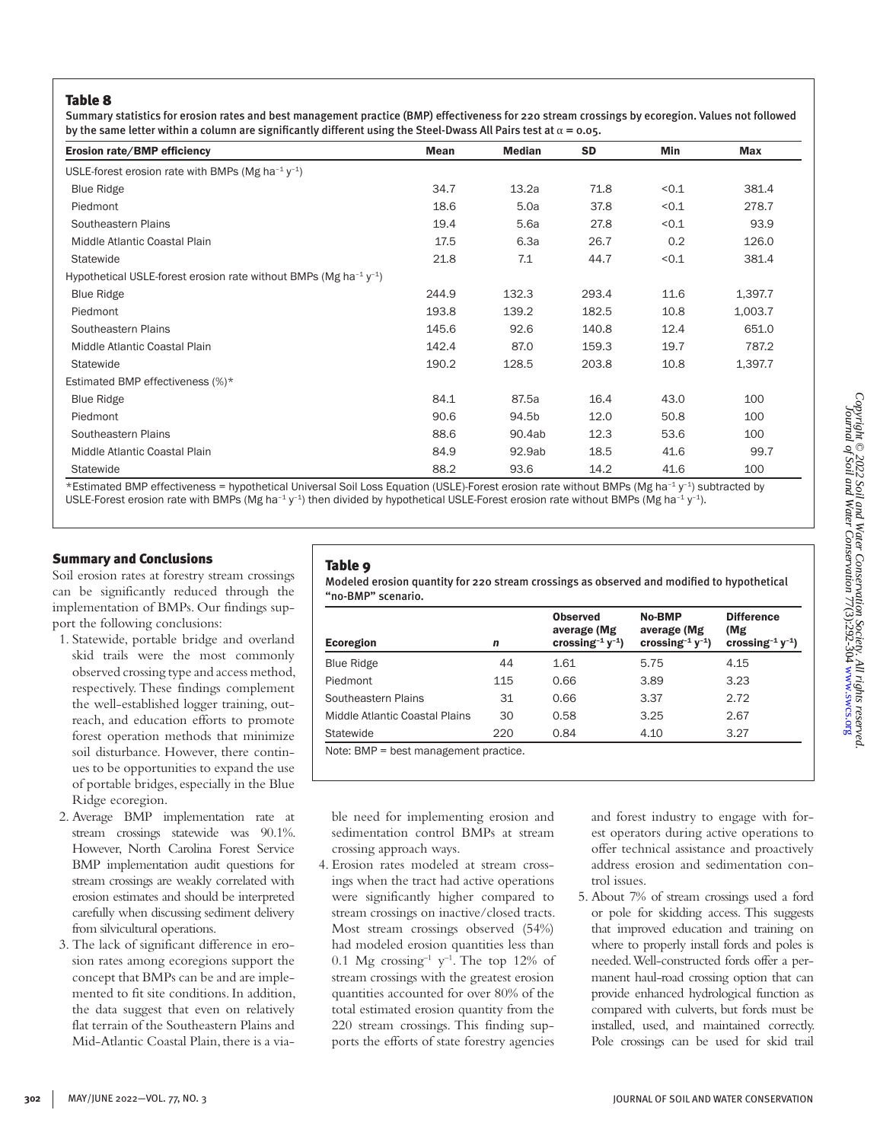Summary statistics for erosion rates and best management practice (BMP) effectiveness for 220 stream crossings by ecoregion. Values not followed by the same letter within a column are significantly different using the Steel-Dwass All Pairs test at  $\alpha$  = 0.05.

| Erosion rate/BMP efficiency                                                                 | <b>Mean</b> | <b>Median</b> | <b>SD</b> | Min   | Max     |
|---------------------------------------------------------------------------------------------|-------------|---------------|-----------|-------|---------|
| USLE-forest erosion rate with BMPs (Mg ha <sup>-1</sup> $y$ <sup>-1</sup> )                 |             |               |           |       |         |
| <b>Blue Ridge</b>                                                                           | 34.7        | 13.2a         | 71.8      | < 0.1 | 381.4   |
| Piedmont                                                                                    | 18.6        | 5.0a          | 37.8      | < 0.1 | 278.7   |
| Southeastern Plains                                                                         | 19.4        | 5.6a          | 27.8      | < 0.1 | 93.9    |
| Middle Atlantic Coastal Plain                                                               | 17.5        | 6.3a          | 26.7      | 0.2   | 126.0   |
| Statewide                                                                                   | 21.8        | 7.1           | 44.7      | < 0.1 | 381.4   |
| Hypothetical USLE-forest erosion rate without BMPs (Mg ha <sup>-1</sup> $y$ <sup>-1</sup> ) |             |               |           |       |         |
| <b>Blue Ridge</b>                                                                           | 244.9       | 132.3         | 293.4     | 11.6  | 1,397.7 |
| Piedmont                                                                                    | 193.8       | 139.2         | 182.5     | 10.8  | 1,003.7 |
| Southeastern Plains                                                                         | 145.6       | 92.6          | 140.8     | 12.4  | 651.0   |
| Middle Atlantic Coastal Plain                                                               | 142.4       | 87.0          | 159.3     | 19.7  | 787.2   |
| Statewide                                                                                   | 190.2       | 128.5         | 203.8     | 10.8  | 1,397.7 |
| Estimated BMP effectiveness (%)*                                                            |             |               |           |       |         |
| <b>Blue Ridge</b>                                                                           | 84.1        | 87.5a         | 16.4      | 43.0  | 100     |
| Piedmont                                                                                    | 90.6        | 94.5b         | 12.0      | 50.8  | 100     |
| Southeastern Plains                                                                         | 88.6        | 90.4ab        | 12.3      | 53.6  | 100     |
| Middle Atlantic Coastal Plain                                                               | 84.9        | 92.9ab        | 18.5      | 41.6  | 99.7    |
| Statewide                                                                                   | 88.2        | 93.6          | 14.2      | 41.6  | 100     |

\*Estimated BMP effectiveness = hypothetical Universal Soil Loss Equation (USLE)-Forest erosion rate without BMPs (Mg ha–1 y–1) subtracted by USLE-Forest erosion rate with BMPs (Mg ha<sup>-1</sup> y<sup>-1</sup>) then divided by hypothetical USLE-Forest erosion rate without BMPs (Mg ha<sup>-1</sup> y<sup>-1</sup>).

## Summary and Conclusions

Soil erosion rates at forestry stream crossings can be significantly reduced through the implementation of BMPs. Our findings support the following conclusions:

- 1. Statewide, portable bridge and overland skid trails were the most commonly observed crossing type and access method, respectively. These findings complement the well-established logger training, outreach, and education efforts to promote forest operation methods that minimize soil disturbance. However, there continues to be opportunities to expand the use of portable bridges, especially in the Blue Ridge ecoregion.
- 2. Average BMP implementation rate at stream crossings statewide was 90.1%. However, North Carolina Forest Service BMP implementation audit questions for stream crossings are weakly correlated with erosion estimates and should be interpreted carefully when discussing sediment delivery from silvicultural operations.
- 3. The lack of significant difference in erosion rates among ecoregions support the concept that BMPs can be and are implemented to fit site conditions. In addition, the data suggest that even on relatively flat terrain of the Southeastern Plains and Mid-Atlantic Coastal Plain, there is a via-

# Table 9

Modeled erosion quantity for 220 stream crossings as observed and modified to hypothetical "no-BMP" scenario.

| Ecoregion                              | n   | <b>Observed</b><br>average (Mg<br>crossing <sup>-1</sup> $y^{-1}$ ) | No-BMP<br>average (Mg<br>crossing <sup>-1</sup> $y^{-1}$ ) | <b>Difference</b><br>(Mg<br>crossing <sup>-1</sup> $y^{-1}$ ) |  |  |  |  |
|----------------------------------------|-----|---------------------------------------------------------------------|------------------------------------------------------------|---------------------------------------------------------------|--|--|--|--|
| <b>Blue Ridge</b>                      | 44  | 1.61                                                                | 5.75                                                       | 4.15                                                          |  |  |  |  |
| Piedmont                               | 115 | 0.66                                                                | 3.89                                                       | 3.23                                                          |  |  |  |  |
| Southeastern Plains                    | 31  | 0.66                                                                | 3.37                                                       | 2.72                                                          |  |  |  |  |
| Middle Atlantic Coastal Plains         | 30  | 0.58                                                                | 3.25                                                       | 2.67                                                          |  |  |  |  |
| Statewide                              | 220 | 0.84                                                                | 4.10                                                       | 3.27                                                          |  |  |  |  |
| $Noto: RMD = heat management practice$ |     |                                                                     |                                                            |                                                               |  |  |  |  |

Note: BMP = best management practice.

ble need for implementing erosion and sedimentation control BMPs at stream crossing approach ways.

4. Erosion rates modeled at stream crossings when the tract had active operations were significantly higher compared to stream crossings on inactive/closed tracts. Most stream crossings observed (54%) had modeled erosion quantities less than 0.1 Mg crossing<sup>-1</sup>  $y^{-1}$ . The top 12% of stream crossings with the greatest erosion quantities accounted for over 80% of the total estimated erosion quantity from the 220 stream crossings. This finding supports the efforts of state forestry agencies

and forest industry to engage with forest operators during active operations to offer technical assistance and proactively address erosion and sedimentation control issues.

5. About 7% of stream crossings used a ford or pole for skidding access. This suggests that improved education and training on where to properly install fords and poles is needed. Well-constructed fords offer a permanent haul-road crossing option that can provide enhanced hydrological function as compared with culverts, but fords must be installed, used, and maintained correctly. Pole crossings can be used for skid trail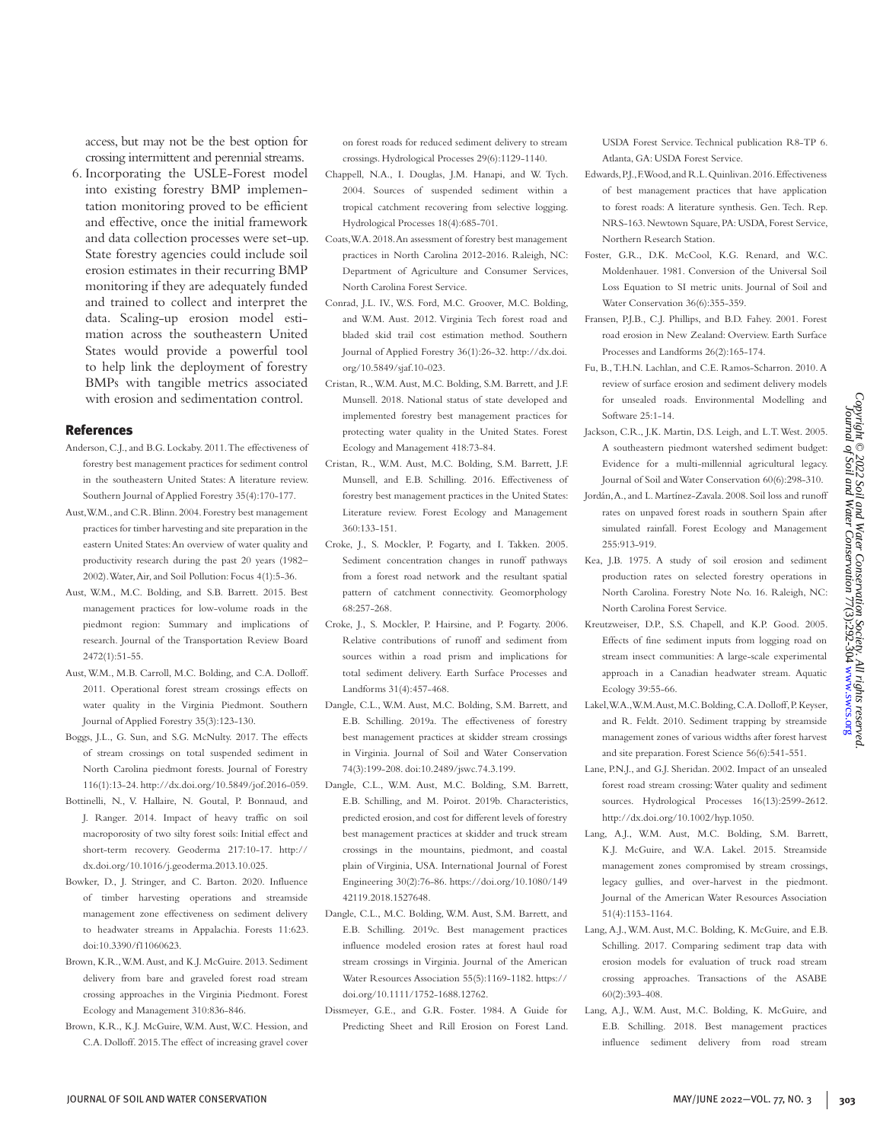access, but may not be the best option for crossing intermittent and perennial streams.

6. Incorporating the USLE-Forest model into existing forestry BMP implementation monitoring proved to be efficient and effective, once the initial framework and data collection processes were set-up. State forestry agencies could include soil erosion estimates in their recurring BMP monitoring if they are adequately funded and trained to collect and interpret the data. Scaling-up erosion model estimation across the southeastern United States would provide a powerful tool to help link the deployment of forestry BMPs with tangible metrics associated with erosion and sedimentation control.

#### References

- Anderson, C.J., and B.G. Lockaby. 2011. The effectiveness of forestry best management practices for sediment control in the southeastern United States: A literature review. Southern Journal of Applied Forestry 35(4):170-177.
- Aust, W.M., and C.R. Blinn. 2004. Forestry best management practices for timber harvesting and site preparation in the eastern United States: An overview of water quality and productivity research during the past 20 years (1982– 2002). Water, Air, and Soil Pollution: Focus 4(1):5-36.
- Aust, W.M., M.C. Bolding, and S.B. Barrett. 2015. Best management practices for low-volume roads in the piedmont region: Summary and implications of research. Journal of the Transportation Review Board 2472(1):51-55.
- Aust, W.M., M.B. Carroll, M.C. Bolding, and C.A. Dolloff. 2011. Operational forest stream crossings effects on water quality in the Virginia Piedmont. Southern Journal of Applied Forestry 35(3):123-130.
- Boggs, J.L., G. Sun, and S.G. McNulty. 2017. The effects of stream crossings on total suspended sediment in North Carolina piedmont forests. Journal of Forestry 116(1):13-24. http://dx.doi.org/10.5849/jof.2016-059.
- Bottinelli, N., V. Hallaire, N. Goutal, P. Bonnaud, and J. Ranger. 2014. Impact of heavy traffic on soil macroporosity of two silty forest soils: Initial effect and short-term recovery. Geoderma 217:10-17. http:// dx.doi.org/10.1016/j.geoderma.2013.10.025.
- Bowker, D., J. Stringer, and C. Barton. 2020. Influence of timber harvesting operations and streamside management zone effectiveness on sediment delivery to headwater streams in Appalachia. Forests 11:623. doi:10.3390/f11060623.
- Brown, K.R., W.M. Aust, and K.J. McGuire. 2013. Sediment delivery from bare and graveled forest road stream crossing approaches in the Virginia Piedmont. Forest Ecology and Management 310:836-846.
- Brown, K.R., K.J. McGuire, W.M. Aust, W.C. Hession, and C.A. Dolloff. 2015. The effect of increasing gravel cover

on forest roads for reduced sediment delivery to stream crossings. Hydrological Processes 29(6):1129-1140.

- Chappell, N.A., I. Douglas, J.M. Hanapi, and W. Tych. 2004. Sources of suspended sediment within a tropical catchment recovering from selective logging. Hydrological Processes 18(4):685-701.
- Coats, W.A. 2018. An assessment of forestry best management practices in North Carolina 2012-2016. Raleigh, NC: Department of Agriculture and Consumer Services, North Carolina Forest Service.
- Conrad, J.L. IV., W.S. Ford, M.C. Groover, M.C. Bolding, and W.M. Aust. 2012. Virginia Tech forest road and bladed skid trail cost estimation method. Southern Journal of Applied Forestry 36(1):26-32. http://dx.doi. org/10.5849/sjaf.10-023.
- Cristan, R., W.M. Aust, M.C. Bolding, S.M. Barrett, and J.F. Munsell. 2018. National status of state developed and implemented forestry best management practices for protecting water quality in the United States. Forest Ecology and Management 418:73-84.
- Cristan, R., W.M. Aust, M.C. Bolding, S.M. Barrett, J.F. Munsell, and E.B. Schilling. 2016. Effectiveness of forestry best management practices in the United States: Literature review. Forest Ecology and Management 360:133-151.
- Croke, J., S. Mockler, P. Fogarty, and I. Takken. 2005. Sediment concentration changes in runoff pathways from a forest road network and the resultant spatial pattern of catchment connectivity. Geomorphology 68:257-268.
- Croke, J., S. Mockler, P. Hairsine, and P. Fogarty. 2006. Relative contributions of runoff and sediment from sources within a road prism and implications for total sediment delivery. Earth Surface Processes and Landforms 31(4):457-468.
- Dangle, C.L., W.M. Aust, M.C. Bolding, S.M. Barrett, and E.B. Schilling. 2019a. The effectiveness of forestry best management practices at skidder stream crossings in Virginia. Journal of Soil and Water Conservation 74(3):199-208. doi:10.2489/jswc.74.3.199.
- Dangle, C.L., W.M. Aust, M.C. Bolding, S.M. Barrett, E.B. Schilling, and M. Poirot. 2019b. Characteristics, predicted erosion, and cost for different levels of forestry best management practices at skidder and truck stream crossings in the mountains, piedmont, and coastal plain of Virginia, USA. International Journal of Forest Engineering 30(2):76-86. https://doi.org/10.1080/149 42119.2018.1527648.
- Dangle, C.L., M.C. Bolding, W.M. Aust, S.M. Barrett, and E.B. Schilling. 2019c. Best management practices influence modeled erosion rates at forest haul road stream crossings in Virginia. Journal of the American Water Resources Association 55(5):1169-1182. https:// doi.org/10.1111/1752-1688.12762.
- Dissmeyer, G.E., and G.R. Foster. 1984. A Guide for Predicting Sheet and Rill Erosion on Forest Land.

USDA Forest Service. Technical publication R8-TP 6. Atlanta, GA: USDA Forest Service.

- Edwards, P.J., F. Wood, and R.L. Quinlivan. 2016. Effectiveness of best management practices that have application to forest roads: A literature synthesis. Gen. Tech. Rep. NRS-163. Newtown Square, PA: USDA, Forest Service, Northern Research Station.
- Foster, G.R., D.K. McCool, K.G. Renard, and W.C. Moldenhauer. 1981. Conversion of the Universal Soil Loss Equation to SI metric units. Journal of Soil and Water Conservation 36(6):355-359.
- Fransen, P.J.B., C.J. Phillips, and B.D. Fahey. 2001. Forest road erosion in New Zealand: Overview. Earth Surface Processes and Landforms 26(2):165-174.
- Fu, B., T.H.N. Lachlan, and C.E. Ramos-Scharron. 2010. A review of surface erosion and sediment delivery models for unsealed roads. Environmental Modelling and Software 25:1-14.
- Jackson, C.R., J.K. Martin, D.S. Leigh, and L.T. West. 2005. A southeastern piedmont watershed sediment budget: Evidence for a multi-millennial agricultural legacy. Journal of Soil and Water Conservation 60(6):298-310.
- Jordán, A., and L. Martínez-Zavala. 2008. Soil loss and runoff rates on unpaved forest roads in southern Spain after simulated rainfall. Forest Ecology and Management 255:913-919.
- Kea, J.B. 1975. A study of soil erosion and sediment production rates on selected forestry operations in North Carolina. Forestry Note No. 16. Raleigh, NC: North Carolina Forest Service.
- Kreutzweiser, D.P., S.S. Chapell, and K.P. Good. 2005. Effects of fine sediment inputs from logging road on stream insect communities: A large-scale experimental approach in a Canadian headwater stream. Aquatic Ecology 39:55-66.
- Lakel, W.A., W.M. Aust, M.C. Bolding, C.A. Dolloff, P. Keyser, and R. Feldt. 2010. Sediment trapping by streamside management zones of various widths after forest harvest and site preparation. Forest Science 56(6):541-551.
- Lane, P.N.J., and G.J. Sheridan. 2002. Impact of an unsealed forest road stream crossing: Water quality and sediment sources. Hydrological Processes 16(13):2599-2612. http://dx.doi.org/10.1002/hyp.1050.
- Lang, A.J., W.M. Aust, M.C. Bolding, S.M. Barrett, K.J. McGuire, and W.A. Lakel. 2015. Streamside management zones compromised by stream crossings, legacy gullies, and over-harvest in the piedmont. Journal of the American Water Resources Association 51(4):1153-1164.
- Lang, A.J., W.M. Aust, M.C. Bolding, K. McGuire, and E.B. Schilling. 2017. Comparing sediment trap data with erosion models for evaluation of truck road stream crossing approaches. Transactions of the ASABE 60(2):393-408.
- Lang, A.J., W.M. Aust, M.C. Bolding, K. McGuire, and E.B. Schilling. 2018. Best management practices influence sediment delivery from road stream